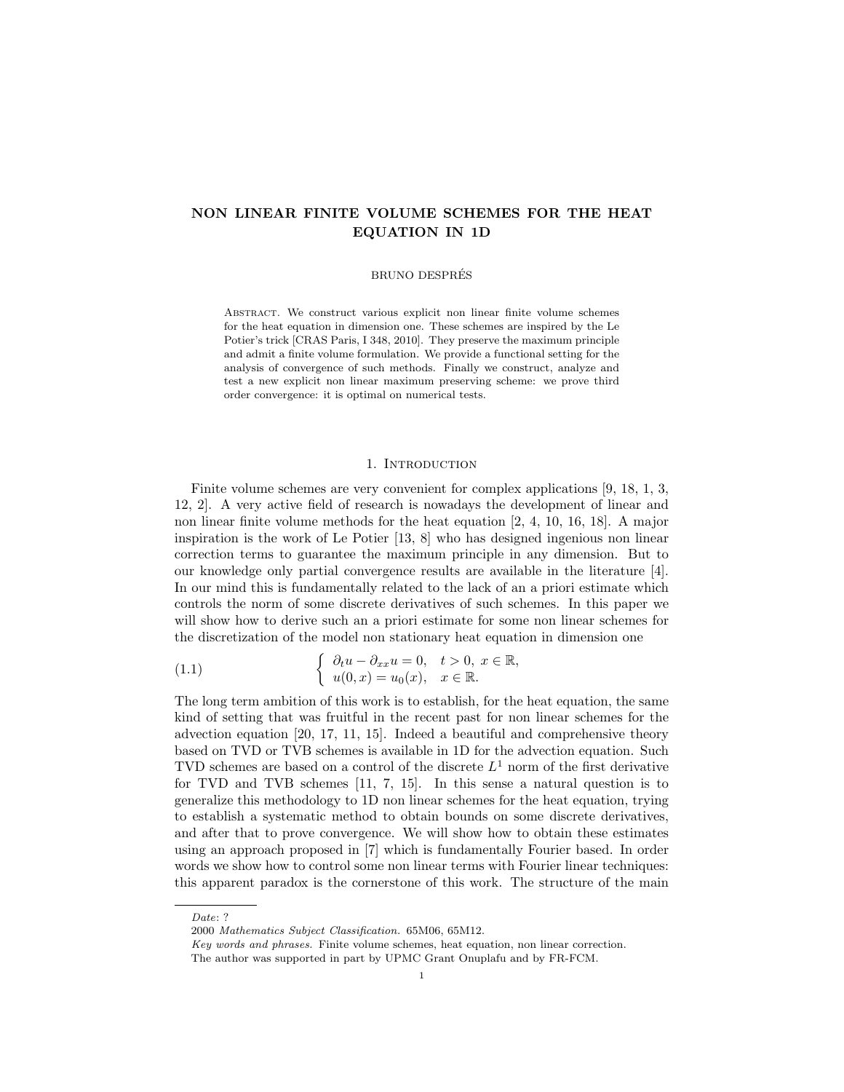# NON LINEAR FINITE VOLUME SCHEMES FOR THE HEAT EQUATION IN 1D

#### BRUNO DESPRES´

Abstract. We construct various explicit non linear finite volume schemes for the heat equation in dimension one. These schemes are inspired by the Le Potier's trick [CRAS Paris, I 348, 2010]. They preserve the maximum principle and admit a finite volume formulation. We provide a functional setting for the analysis of convergence of such methods. Finally we construct, analyze and test a new explicit non linear maximum preserving scheme: we prove third order convergence: it is optimal on numerical tests.

### 1. INTRODUCTION

Finite volume schemes are very convenient for complex applications [9, 18, 1, 3, 12, 2]. A very active field of research is nowadays the development of linear and non linear finite volume methods for the heat equation [2, 4, 10, 16, 18]. A major inspiration is the work of Le Potier [13, 8] who has designed ingenious non linear correction terms to guarantee the maximum principle in any dimension. But to our knowledge only partial convergence results are available in the literature [4]. In our mind this is fundamentally related to the lack of an a priori estimate which controls the norm of some discrete derivatives of such schemes. In this paper we will show how to derive such an a priori estimate for some non linear schemes for the discretization of the model non stationary heat equation in dimension one

(1.1) 
$$
\begin{cases} \partial_t u - \partial_{xx} u = 0, & t > 0, \ x \in \mathbb{R}, \\ u(0, x) = u_0(x), & x \in \mathbb{R}. \end{cases}
$$

The long term ambition of this work is to establish, for the heat equation, the same kind of setting that was fruitful in the recent past for non linear schemes for the advection equation [20, 17, 11, 15]. Indeed a beautiful and comprehensive theory based on TVD or TVB schemes is available in 1D for the advection equation. Such TVD schemes are based on a control of the discrete  $L^1$  norm of the first derivative for TVD and TVB schemes [11, 7, 15]. In this sense a natural question is to generalize this methodology to 1D non linear schemes for the heat equation, trying to establish a systematic method to obtain bounds on some discrete derivatives, and after that to prove convergence. We will show how to obtain these estimates using an approach proposed in [7] which is fundamentally Fourier based. In order words we show how to control some non linear terms with Fourier linear techniques: this apparent paradox is the cornerstone of this work. The structure of the main

Date: ?

<sup>2000</sup> Mathematics Subject Classification. 65M06, 65M12.

Key words and phrases. Finite volume schemes, heat equation, non linear correction.

The author was supported in part by UPMC Grant Onuplafu and by FR-FCM.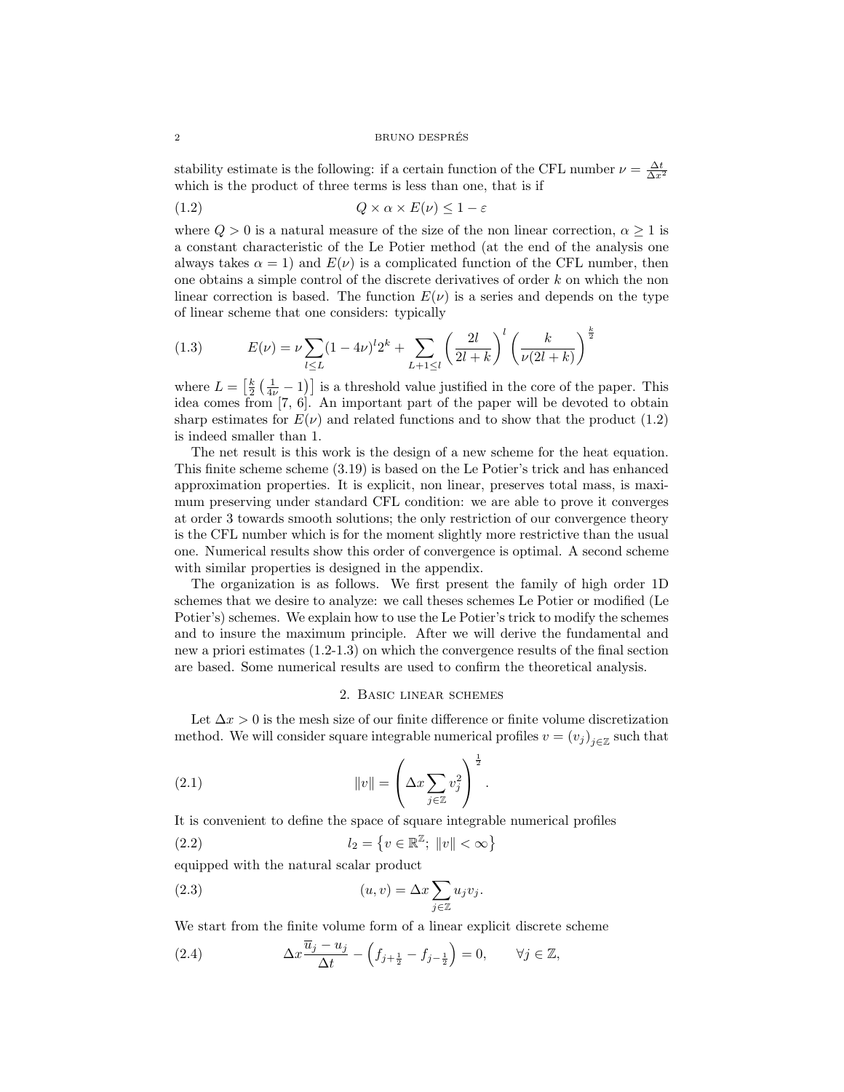#### 2 BRUNO DESPRES´

stability estimate is the following: if a certain function of the CFL number  $\nu = \frac{\Delta t}{\Delta x^2}$ which is the product of three terms is less than one, that is if

$$
(1.2) \tQ \times \alpha \times E(\nu) \le 1 - \varepsilon
$$

where  $Q > 0$  is a natural measure of the size of the non linear correction,  $\alpha \geq 1$  is a constant characteristic of the Le Potier method (at the end of the analysis one always takes  $\alpha = 1$ ) and  $E(\nu)$  is a complicated function of the CFL number, then one obtains a simple control of the discrete derivatives of order k on which the non linear correction is based. The function  $E(\nu)$  is a series and depends on the type of linear scheme that one considers: typically

(1.3) 
$$
E(\nu) = \nu \sum_{l \le L} (1 - 4\nu)^l 2^k + \sum_{L+1 \le l} \left( \frac{2l}{2l+k} \right)^l \left( \frac{k}{\nu(2l+k)} \right)^{\frac{k}{2}}
$$

where  $L = \left[\frac{k}{2}\left(\frac{1}{4\nu}-1\right)\right]$  is a threshold value justified in the core of the paper. This idea comes from [7, 6]. An important part of the paper will be devoted to obtain sharp estimates for  $E(\nu)$  and related functions and to show that the product (1.2) is indeed smaller than 1.

The net result is this work is the design of a new scheme for the heat equation. This finite scheme scheme (3.19) is based on the Le Potier's trick and has enhanced approximation properties. It is explicit, non linear, preserves total mass, is maximum preserving under standard CFL condition: we are able to prove it converges at order 3 towards smooth solutions; the only restriction of our convergence theory is the CFL number which is for the moment slightly more restrictive than the usual one. Numerical results show this order of convergence is optimal. A second scheme with similar properties is designed in the appendix.

The organization is as follows. We first present the family of high order 1D schemes that we desire to analyze: we call theses schemes Le Potier or modified (Le Potier's) schemes. We explain how to use the Le Potier's trick to modify the schemes and to insure the maximum principle. After we will derive the fundamental and new a priori estimates (1.2-1.3) on which the convergence results of the final section are based. Some numerical results are used to confirm the theoretical analysis.

### 2. Basic linear schemes

Let  $\Delta x > 0$  is the mesh size of our finite difference or finite volume discretization method. We will consider square integrable numerical profiles  $v = (v_j)_{j \in \mathbb{Z}}$  such that

.

(2.1) 
$$
||v|| = \left(\Delta x \sum_{j \in \mathbb{Z}} v_j^2\right)^{\frac{1}{2}}
$$

It is convenient to define the space of square integrable numerical profiles

(2.2) 
$$
l_2 = \{v \in \mathbb{R}^{\mathbb{Z}}; ||v|| < \infty\}
$$

equipped with the natural scalar product

(2.3) 
$$
(u, v) = \Delta x \sum_{j \in \mathbb{Z}} u_j v_j.
$$

We start from the finite volume form of a linear explicit discrete scheme

(2.4) 
$$
\Delta x \frac{\overline{u}_j - u_j}{\Delta t} - \left(f_{j + \frac{1}{2}} - f_{j - \frac{1}{2}}\right) = 0, \qquad \forall j \in \mathbb{Z},
$$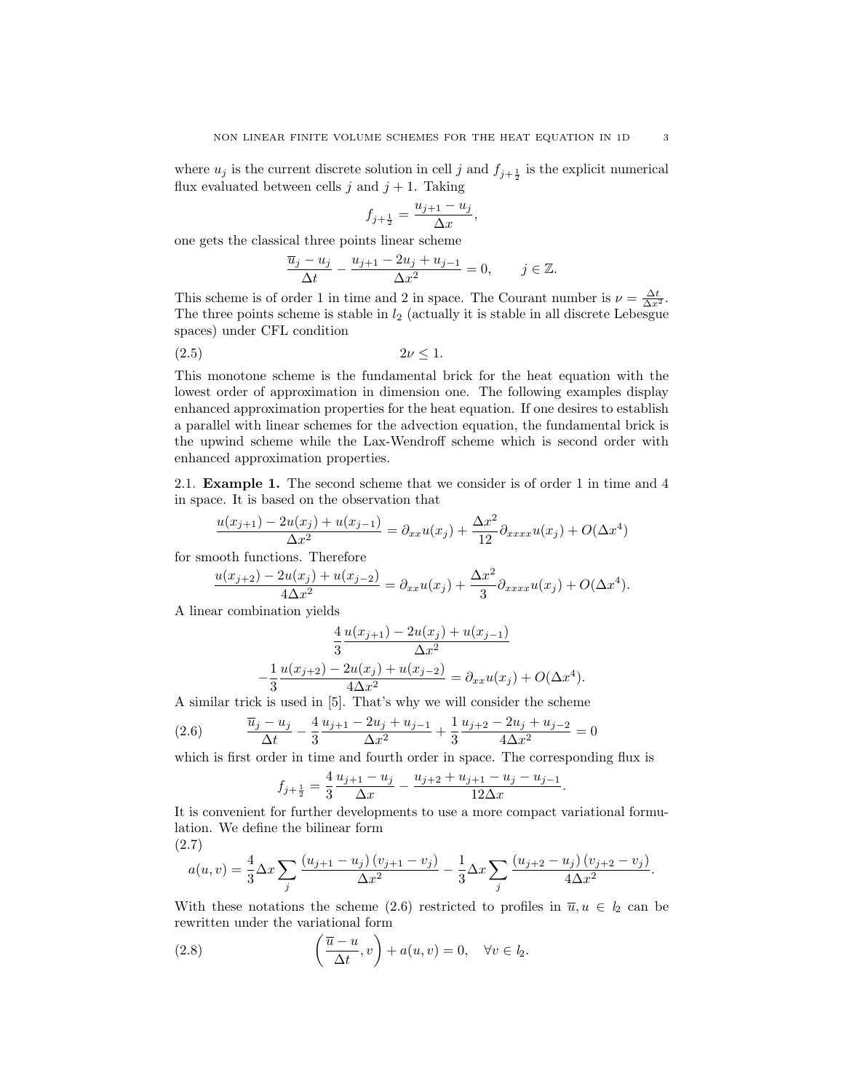where  $u_j$  is the current discrete solution in cell j and  $f_{j+\frac{1}{2}}$  is the explicit numerical flux evaluated between cells  $j$  and  $j + 1$ . Taking

$$
f_{j+\frac{1}{2}} = \frac{u_{j+1} - u_j}{\Delta x},
$$

one gets the classical three points linear scheme

$$
\frac{\overline{u}_j - u_j}{\Delta t} - \frac{u_{j+1} - 2u_j + u_{j-1}}{\Delta x^2} = 0, \quad j \in \mathbb{Z}.
$$

This scheme is of order 1 in time and 2 in space. The Courant number is  $\nu = \frac{\Delta t}{\Delta x^2}$ . The three points scheme is stable in  $l_2$  (actually it is stable in all discrete Lebesgue spaces) under CFL condition

$$
(2.5) \t\t 2\nu \le 1.
$$

This monotone scheme is the fundamental brick for the heat equation with the lowest order of approximation in dimension one. The following examples display enhanced approximation properties for the heat equation. If one desires to establish a parallel with linear schemes for the advection equation, the fundamental brick is the upwind scheme while the Lax-Wendroff scheme which is second order with enhanced approximation properties.

2.1. Example 1. The second scheme that we consider is of order 1 in time and 4 in space. It is based on the observation that

$$
\frac{u(x_{j+1}) - 2u(x_j) + u(x_{j-1})}{\Delta x^2} = \partial_{xx}u(x_j) + \frac{\Delta x^2}{12}\partial_{xxxx}u(x_j) + O(\Delta x^4)
$$

for smooth functions. Therefore

$$
\frac{u(x_{j+2}) - 2u(x_j) + u(x_{j-2})}{4\Delta x^2} = \partial_{xx}u(x_j) + \frac{\Delta x^2}{3}\partial_{xxxx}u(x_j) + O(\Delta x^4).
$$

A linear combination yields

$$
\frac{4}{3} \frac{u(x_{j+1}) - 2u(x_j) + u(x_{j-1})}{\Delta x^2}
$$

$$
-\frac{1}{3} \frac{u(x_{j+2}) - 2u(x_j) + u(x_{j-2})}{4\Delta x^2} = \partial_{xx} u(x_j) + O(\Delta x^4).
$$

A similar trick is used in [5]. That's why we will consider the scheme

(2.6) 
$$
\frac{\overline{u}_j - u_j}{\Delta t} - \frac{4}{3} \frac{u_{j+1} - 2u_j + u_{j-1}}{\Delta x^2} + \frac{1}{3} \frac{u_{j+2} - 2u_j + u_{j-2}}{4\Delta x^2} = 0
$$

which is first order in time and fourth order in space. The corresponding flux is

$$
f_{j+\frac{1}{2}} = \frac{4}{3} \frac{u_{j+1} - u_j}{\Delta x} - \frac{u_{j+2} + u_{j+1} - u_j - u_{j-1}}{12\Delta x}.
$$

It is convenient for further developments to use a more compact variational formulation. We define the bilinear form (2.7)

$$
a(u,v) = \frac{4}{3}\Delta x \sum_{j} \frac{(u_{j+1} - u_j)(v_{j+1} - v_j)}{\Delta x^2} - \frac{1}{3}\Delta x \sum_{j} \frac{(u_{j+2} - u_j)(v_{j+2} - v_j)}{4\Delta x^2}.
$$

With these notations the scheme (2.6) restricted to profiles in  $\overline{u}, u \in l_2$  can be rewritten under the variational form

(2.8) 
$$
\left(\frac{\overline{u}-u}{\Delta t},v\right)+a(u,v)=0, \quad \forall v \in l_2.
$$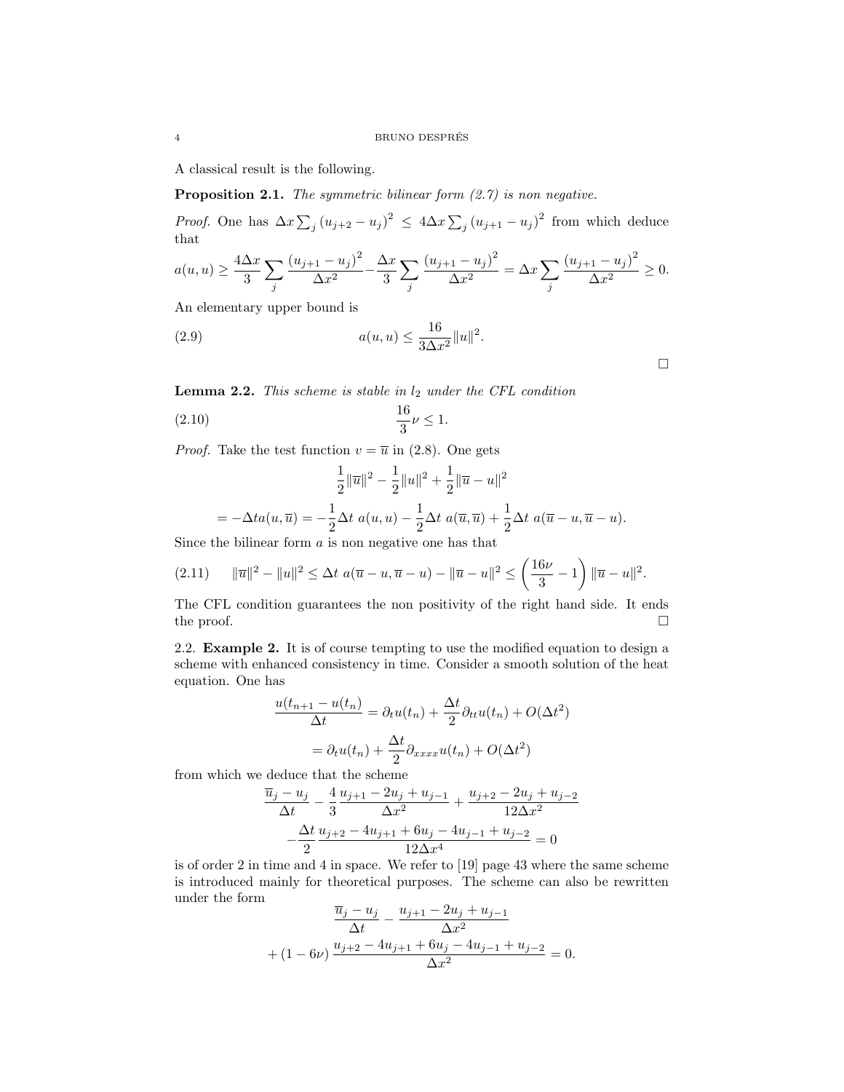A classical result is the following.

**Proposition 2.1.** The symmetric bilinear form  $(2.7)$  is non negative.

*Proof.* One has  $\Delta x \sum_{j} (u_{j+2} - u_j)^2 \le 4 \Delta x \sum_{j} (u_{j+1} - u_j)^2$  from which deduce that

$$
a(u, u) \ge \frac{4\Delta x}{3} \sum_{j} \frac{(u_{j+1} - u_j)^2}{\Delta x^2} - \frac{\Delta x}{3} \sum_{j} \frac{(u_{j+1} - u_j)^2}{\Delta x^2} = \Delta x \sum_{j} \frac{(u_{j+1} - u_j)^2}{\Delta x^2} \ge 0.
$$

An elementary upper bound is

(2.9) 
$$
a(u, u) \le \frac{16}{3\Delta x^2} ||u||^2.
$$

**Lemma 2.2.** This scheme is stable in  $l_2$  under the CFL condition

(2.10) 
$$
\frac{16}{3}\nu \le 1.
$$

*Proof.* Take the test function  $v = \overline{u}$  in (2.8). One gets

$$
\frac{1}{2} \|\overline{u}\|^2 - \frac{1}{2} \|u\|^2 + \frac{1}{2} \|\overline{u} - u\|^2
$$
  
=  $-\Delta t a(u, \overline{u}) = -\frac{1}{2} \Delta t a(u, u) - \frac{1}{2} \Delta t a(\overline{u}, \overline{u}) + \frac{1}{2} \Delta t a(\overline{u} - u, \overline{u} - u).$ 

Since the bilinear form  $a$  is non negative one has that

$$
(2.11) \quad \|\overline{u}\|^2 - \|u\|^2 \le \Delta t \ a(\overline{u} - u, \overline{u} - u) - \|\overline{u} - u\|^2 \le \left(\frac{16\nu}{3} - 1\right) \|\overline{u} - u\|^2.
$$

The CFL condition guarantees the non positivity of the right hand side. It ends the proof.  $\Box$ 

2.2. Example 2. It is of course tempting to use the modified equation to design a scheme with enhanced consistency in time. Consider a smooth solution of the heat equation. One has

$$
\frac{u(t_{n+1} - u(t_n))}{\Delta t} = \partial_t u(t_n) + \frac{\Delta t}{2} \partial_{tt} u(t_n) + O(\Delta t^2)
$$

$$
= \partial_t u(t_n) + \frac{\Delta t}{2} \partial_{xxxx} u(t_n) + O(\Delta t^2)
$$

from which we deduce that the scheme

$$
\frac{\overline{u}_j - u_j}{\Delta t} - \frac{4}{3} \frac{u_{j+1} - 2u_j + u_{j-1}}{\Delta x^2} + \frac{u_{j+2} - 2u_j + u_{j-2}}{12\Delta x^2} \n- \frac{\Delta t}{2} \frac{u_{j+2} - 4u_{j+1} + 6u_j - 4u_{j-1} + u_{j-2}}{12\Delta x^4} = 0
$$

is of order 2 in time and 4 in space. We refer to [19] page 43 where the same scheme is introduced mainly for theoretical purposes. The scheme can also be rewritten under the form

$$
\frac{\overline{u}_j - u_j}{\Delta t} - \frac{u_{j+1} - 2u_j + u_{j-1}}{\Delta x^2} + (1 - 6\nu) \frac{u_{j+2} - 4u_{j+1} + 6u_j - 4u_{j-1} + u_{j-2}}{\Delta x^2} = 0.
$$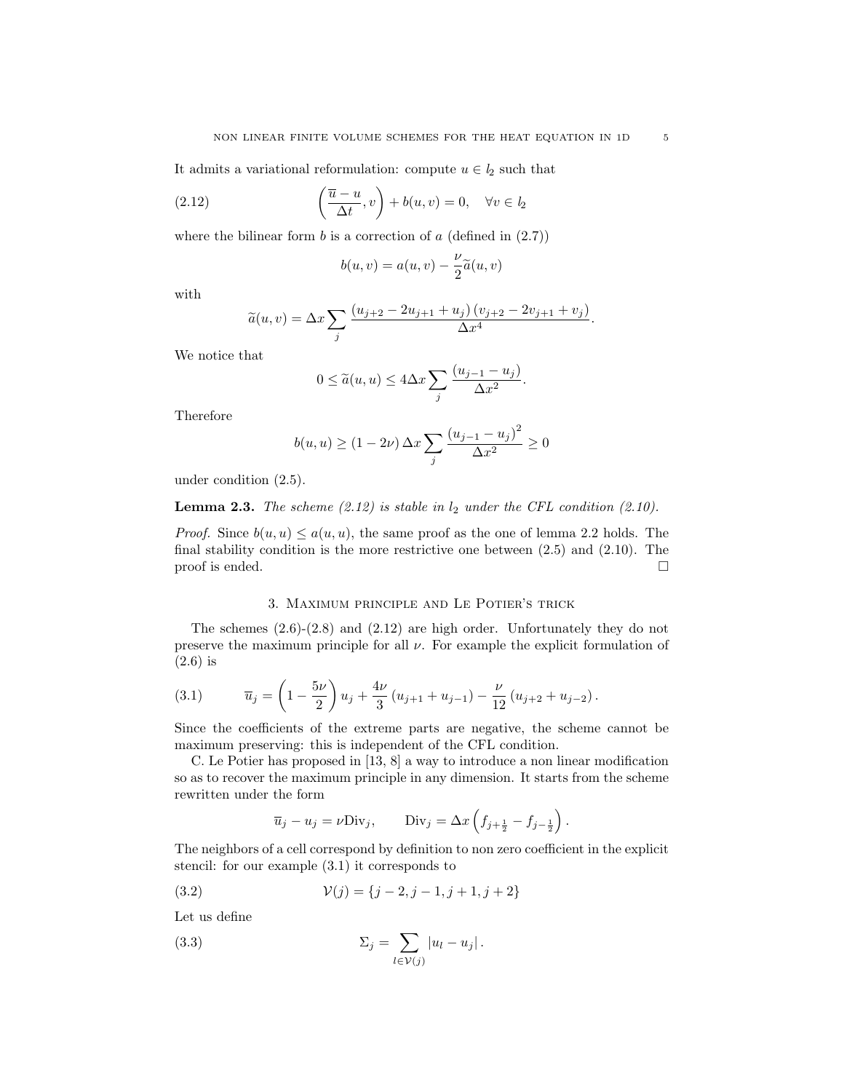It admits a variational reformulation: compute  $u \in l_2$  such that

(2.12) 
$$
\left(\frac{\overline{u}-u}{\Delta t},v\right)+b(u,v)=0, \quad \forall v \in l_2
$$

where the bilinear form  $b$  is a correction of  $a$  (defined in  $(2.7)$ )

$$
b(u,v) = a(u,v) - \frac{\nu}{2}\tilde{a}(u,v)
$$

with

$$
\widetilde{a}(u,v) = \Delta x \sum_{j} \frac{(u_{j+2} - 2u_{j+1} + u_j) (v_{j+2} - 2v_{j+1} + v_j)}{\Delta x^4}.
$$

We notice that

$$
0 \le \widetilde{a}(u, u) \le 4\Delta x \sum_{j} \frac{(u_{j-1} - u_j)}{\Delta x^2}.
$$

Therefore

$$
b(u, u) \ge (1 - 2\nu) \,\Delta x \sum_{j} \frac{\left(u_{j-1} - u_j\right)^2}{\Delta x^2} \ge 0
$$

under condition (2.5).

**Lemma 2.3.** The scheme  $(2.12)$  is stable in  $l_2$  under the CFL condition  $(2.10)$ .

*Proof.* Since  $b(u, u) \le a(u, u)$ , the same proof as the one of lemma 2.2 holds. The final stability condition is the more restrictive one between (2.5) and (2.10). The proof is ended.  $\Box$ 

### 3. Maximum principle and Le Potier's trick

The schemes  $(2.6)-(2.8)$  and  $(2.12)$  are high order. Unfortunately they do not preserve the maximum principle for all  $\nu$ . For example the explicit formulation of (2.6) is

(3.1) 
$$
\overline{u}_j = \left(1 - \frac{5\nu}{2}\right)u_j + \frac{4\nu}{3}\left(u_{j+1} + u_{j-1}\right) - \frac{\nu}{12}\left(u_{j+2} + u_{j-2}\right).
$$

Since the coefficients of the extreme parts are negative, the scheme cannot be maximum preserving: this is independent of the CFL condition.

C. Le Potier has proposed in [13, 8] a way to introduce a non linear modification so as to recover the maximum principle in any dimension. It starts from the scheme rewritten under the form

$$
\overline{u}_j - u_j = \nu \text{Div}_j,
$$
 Div<sub>j</sub> =  $\Delta x \left( f_{j + \frac{1}{2}} - f_{j - \frac{1}{2}} \right).$ 

The neighbors of a cell correspond by definition to non zero coefficient in the explicit stencil: for our example (3.1) it corresponds to

(3.2) 
$$
\mathcal{V}(j) = \{j-2, j-1, j+1, j+2\}
$$

Let us define

(3.3) 
$$
\Sigma_j = \sum_{l \in \mathcal{V}(j)} |u_l - u_j|.
$$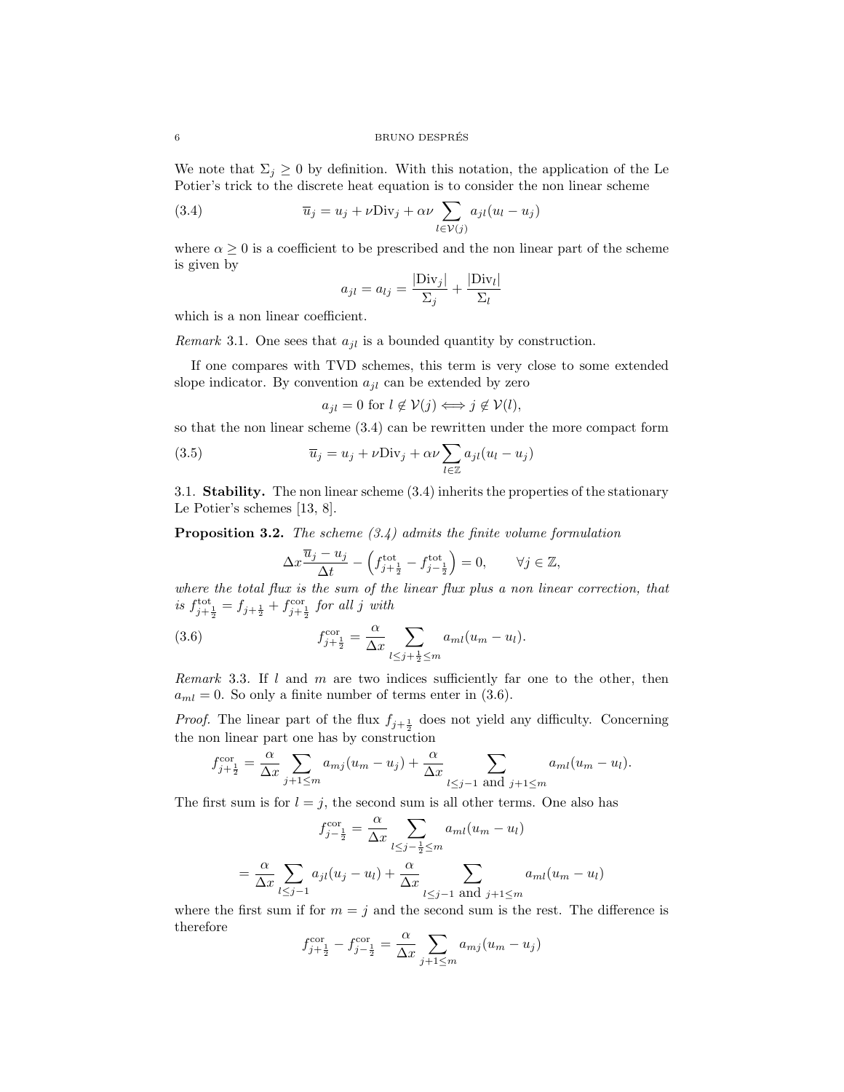We note that  $\Sigma_j \geq 0$  by definition. With this notation, the application of the Le Potier's trick to the discrete heat equation is to consider the non linear scheme

(3.4) 
$$
\overline{u}_j = u_j + \nu \text{Div}_j + \alpha \nu \sum_{l \in \mathcal{V}(j)} a_{jl} (u_l - u_j)
$$

where  $\alpha \geq 0$  is a coefficient to be prescribed and the non linear part of the scheme is given by

$$
a_{jl} = a_{lj} = \frac{|\text{Div}_j|}{\Sigma_j} + \frac{|\text{Div}_l|}{\Sigma_l}
$$

which is a non linear coefficient.

*Remark* 3.1. One sees that  $a_{jl}$  is a bounded quantity by construction.

If one compares with TVD schemes, this term is very close to some extended slope indicator. By convention  $a_{il}$  can be extended by zero

$$
a_{jl} = 0 \text{ for } l \notin \mathcal{V}(j) \Longleftrightarrow j \notin \mathcal{V}(l),
$$

so that the non linear scheme (3.4) can be rewritten under the more compact form

(3.5) 
$$
\overline{u}_j = u_j + \nu \text{Div}_j + \alpha \nu \sum_{l \in \mathbb{Z}} a_{jl} (u_l - u_j)
$$

3.1. Stability. The non linear scheme (3.4) inherits the properties of the stationary Le Potier's schemes [13, 8].

**Proposition 3.2.** The scheme  $(3.4)$  admits the finite volume formulation

$$
\Delta x \frac{\overline{u}_j - u_j}{\Delta t} - \left( f_{j + \frac{1}{2}}^{\text{tot}} - f_{j - \frac{1}{2}}^{\text{tot}} \right) = 0, \qquad \forall j \in \mathbb{Z},
$$

where the total flux is the sum of the linear flux plus a non linear correction, that is  $f_{j+\frac{1}{2}}^{\text{tot}} = f_{j+\frac{1}{2}} + f_{j+\frac{1}{2}}^{\text{cor}}$  for all j with

(3.6) 
$$
f_{j+\frac{1}{2}}^{\text{cor}} = \frac{\alpha}{\Delta x} \sum_{l \leq j+\frac{1}{2} \leq m} a_{ml}(u_m - u_l).
$$

Remark 3.3. If  $l$  and  $m$  are two indices sufficiently far one to the other, then  $a_{ml} = 0$ . So only a finite number of terms enter in (3.6).

*Proof.* The linear part of the flux  $f_{j+\frac{1}{2}}$  does not yield any difficulty. Concerning the non linear part one has by construction

$$
f_{j+\frac{1}{2}}^{\text{cor}} = \frac{\alpha}{\Delta x} \sum_{j+1 \le m} a_{mj}(u_m - u_j) + \frac{\alpha}{\Delta x} \sum_{l \le j-1 \text{ and } j+1 \le m} a_{ml}(u_m - u_l).
$$

The first sum is for  $l = j$ , the second sum is all other terms. One also has

$$
f_{j-\frac{1}{2}}^{\text{cor}} = \frac{\alpha}{\Delta x} \sum_{l \leq j-\frac{1}{2} \leq m} a_{ml}(u_m - u_l)
$$

$$
= \frac{\alpha}{\Delta x} \sum_{l \leq j-1} a_{jl}(u_j - u_l) + \frac{\alpha}{\Delta x} \sum_{l \leq j-1} \sum_{\text{and } j+1 \leq m} a_{ml}(u_m - u_l)
$$

where the first sum if for  $m = j$  and the second sum is the rest. The difference is therefore

$$
f_{j+\frac{1}{2}}^{\text{cor}} - f_{j-\frac{1}{2}}^{\text{cor}} = \frac{\alpha}{\Delta x} \sum_{j+1 \le m} a_{mj} (u_m - u_j)
$$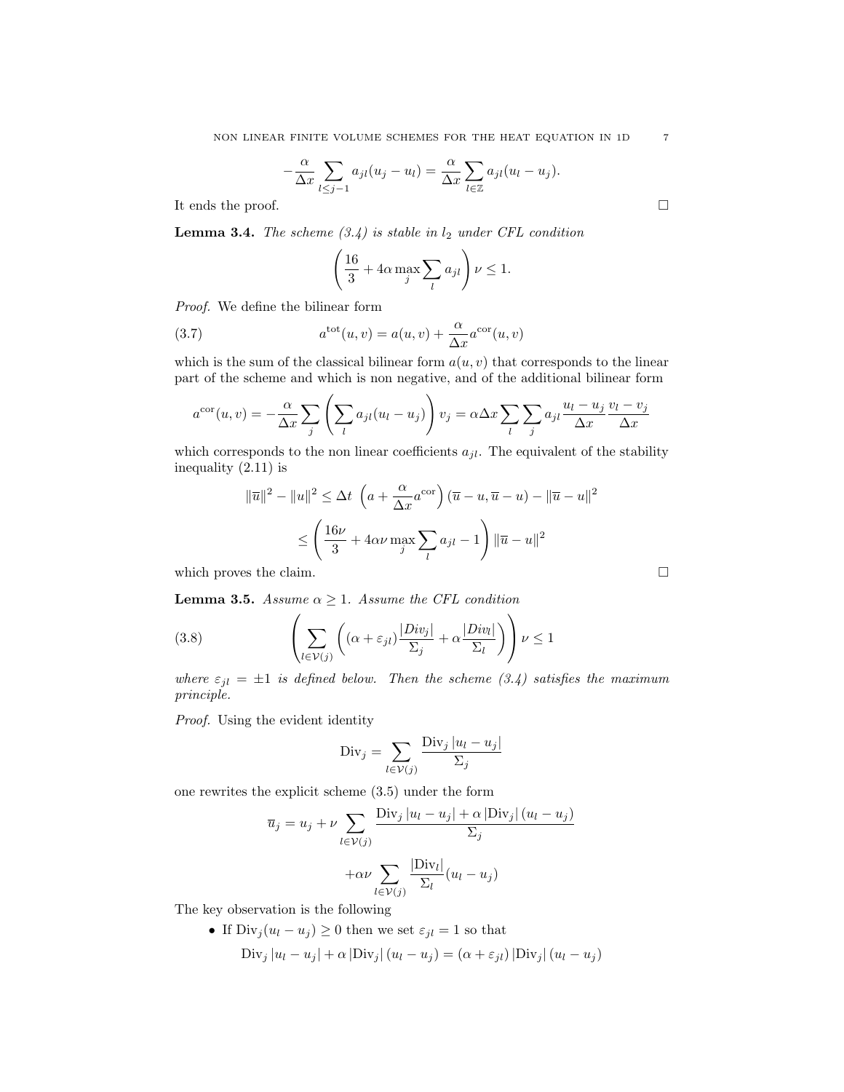$$
-\frac{\alpha}{\Delta x}\sum_{l\leq j-1}a_{jl}(u_j-u_l)=\frac{\alpha}{\Delta x}\sum_{l\in\mathbb{Z}}a_{jl}(u_l-u_j).
$$

It ends the proof.  $\Box$ 

**Lemma 3.4.** The scheme  $(3.4)$  is stable in  $l_2$  under CFL condition

$$
\left(\frac{16}{3} + 4\alpha \max_{j} \sum_{l} a_{jl}\right) \nu \le 1.
$$

Proof. We define the bilinear form

(3.7) 
$$
a^{\text{tot}}(u,v) = a(u,v) + \frac{\alpha}{\Delta x} a^{\text{cor}}(u,v)
$$

which is the sum of the classical bilinear form  $a(u, v)$  that corresponds to the linear part of the scheme and which is non negative, and of the additional bilinear form

$$
a^{\text{cor}}(u,v) = -\frac{\alpha}{\Delta x} \sum_{j} \left( \sum_{l} a_{jl} (u_l - u_j) \right) v_j = \alpha \Delta x \sum_{l} \sum_{j} a_{jl} \frac{u_l - u_j}{\Delta x} \frac{v_l - v_j}{\Delta x}
$$

which corresponds to the non linear coefficients  $a_{jl}$ . The equivalent of the stability inequality (2.11) is

$$
\|\overline{u}\|^2 - \|u\|^2 \le \Delta t \left(a + \frac{\alpha}{\Delta x} a^{\text{cor}}\right) (\overline{u} - u, \overline{u} - u) - \|\overline{u} - u\|^2
$$
  

$$
\le \left(\frac{16\nu}{3} + 4\alpha\nu \max_j \sum_l a_{jl} - 1\right) \|\overline{u} - u\|^2
$$
  
which proves the claim.

**Lemma 3.5.** Assume  $\alpha \geq 1$ . Assume the CFL condition

(3.8) 
$$
\left(\sum_{l \in \mathcal{V}(j)} \left((\alpha + \varepsilon_{jl}) \frac{|Div_j|}{\Sigma_j} + \alpha \frac{|Div_l|}{\Sigma_l}\right)\right) \nu \le 1
$$

where  $\varepsilon_{jl} = \pm 1$  is defined below. Then the scheme (3.4) satisfies the maximum principle.

 $\sim$   $\sim$ 

Proof. Using the evident identity

$$
\text{Div}_j = \sum_{l \in \mathcal{V}(j)} \frac{\text{Div}_j |u_l - u_j|}{\Sigma_j}
$$

one rewrites the explicit scheme (3.5) under the form

$$
\overline{u}_j = u_j + \nu \sum_{l \in \mathcal{V}(j)} \frac{\text{Div}_j |u_l - u_j| + \alpha |\text{Div}_j| (u_l - u_j)}{\Sigma_j}
$$

$$
+ \alpha \nu \sum_{l \in \mathcal{V}(j)} \frac{|\text{Div}_l|}{\Sigma_l} (u_l - u_j)
$$

The key observation is the following

\n- If 
$$
\text{Div}_j(u_l - u_j) \geq 0
$$
 then we set  $\varepsilon_{jl} = 1$  so that  $\text{Div}_j |u_l - u_j| + \alpha |\text{Div}_j| (u_l - u_j) = (\alpha + \varepsilon_{jl}) |\text{Div}_j| (u_l - u_j)$
\n

$$
\overline{}
$$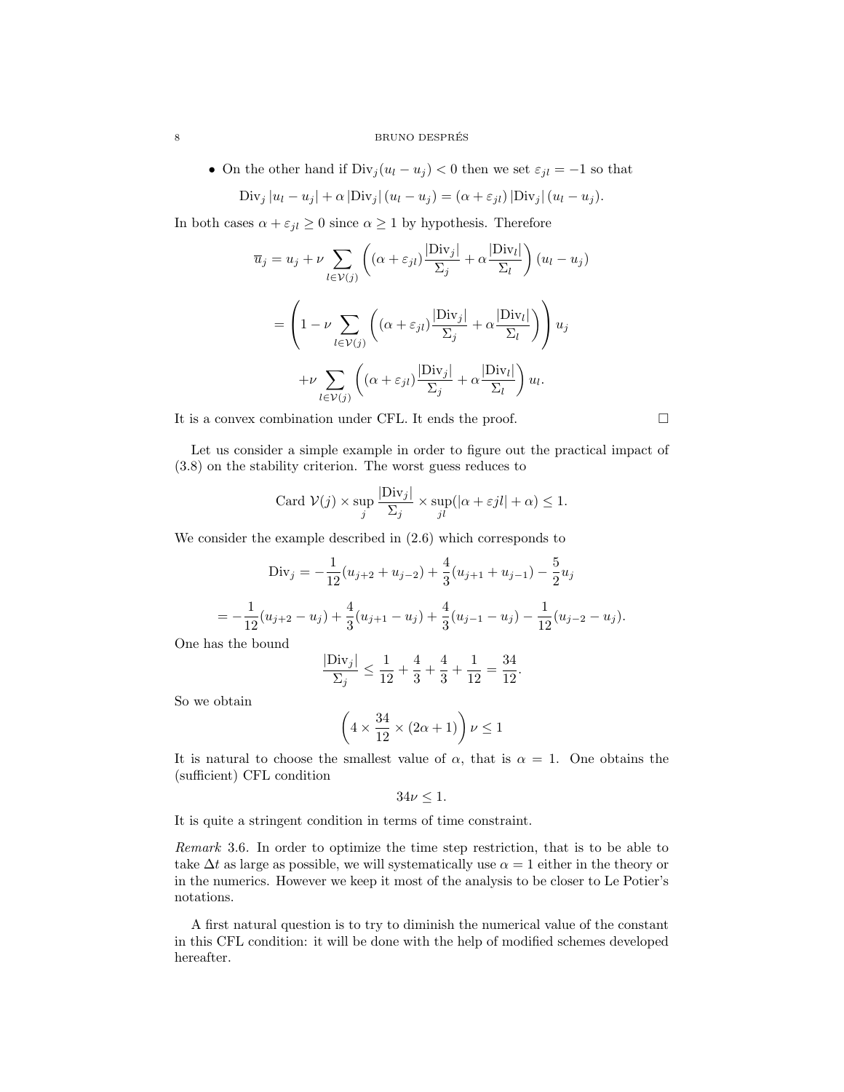### 8 BRUNO DESPRÉS

• On the other hand if  $Div_j(u_l - u_j) < 0$  then we set  $\varepsilon_{jl} = -1$  so that

Div<sub>j</sub> 
$$
|u_l - u_j| + \alpha |\text{Div}_j| (u_l - u_j) = (\alpha + \varepsilon_{jl}) |\text{Div}_j| (u_l - u_j).
$$

In both cases  $\alpha + \varepsilon_{jl} \ge 0$  since  $\alpha \ge 1$  by hypothesis. Therefore

$$
\overline{u}_{j} = u_{j} + \nu \sum_{l \in \mathcal{V}(j)} \left( (\alpha + \varepsilon_{jl}) \frac{|\text{Div}_{j}|}{\Sigma_{j}} + \alpha \frac{|\text{Div}_{l}|}{\Sigma_{l}} \right) (u_{l} - u_{j})
$$
\n
$$
= \left( 1 - \nu \sum_{l \in \mathcal{V}(j)} \left( (\alpha + \varepsilon_{jl}) \frac{|\text{Div}_{j}|}{\Sigma_{j}} + \alpha \frac{|\text{Div}_{l}|}{\Sigma_{l}} \right) \right) u_{j}
$$
\n
$$
+ \nu \sum_{l \in \mathcal{V}(j)} \left( (\alpha + \varepsilon_{jl}) \frac{|\text{Div}_{j}|}{\Sigma_{j}} + \alpha \frac{|\text{Div}_{l}|}{\Sigma_{l}} \right) u_{l}.
$$

It is a convex combination under CFL. It ends the proof.

Let us consider a simple example in order to figure out the practical impact of (3.8) on the stability criterion. The worst guess reduces to

Card 
$$
V(j) \times \sup_j \frac{|\text{Div}_j|}{\sum_j} \times \sup_{jl} (|\alpha + \varepsilon j l| + \alpha) \le 1.
$$

We consider the example described in (2.6) which corresponds to

Div<sub>j</sub> = 
$$
-\frac{1}{12}(u_{j+2} + u_{j-2}) + \frac{4}{3}(u_{j+1} + u_{j-1}) - \frac{5}{2}u_j
$$
  
=  $-\frac{1}{12}(u_{j+2} - u_j) + \frac{4}{3}(u_{j+1} - u_j) + \frac{4}{3}(u_{j-1} - u_j) - \frac{1}{12}(u_{j-2} - u_j).$ 

One has the bound

$$
\frac{|\text{Div}_j|}{\Sigma_j} \le \frac{1}{12} + \frac{4}{3} + \frac{4}{3} + \frac{1}{12} = \frac{34}{12}.
$$

So we obtain

$$
\left(4\times\frac{34}{12}\times(2\alpha+1)\right)\nu\leq 1
$$

It is natural to choose the smallest value of  $\alpha$ , that is  $\alpha = 1$ . One obtains the (sufficient) CFL condition

$$
34\nu \leq 1.
$$

It is quite a stringent condition in terms of time constraint.

Remark 3.6. In order to optimize the time step restriction, that is to be able to take  $\Delta t$  as large as possible, we will systematically use  $\alpha = 1$  either in the theory or in the numerics. However we keep it most of the analysis to be closer to Le Potier's notations.

A first natural question is to try to diminish the numerical value of the constant in this CFL condition: it will be done with the help of modified schemes developed hereafter.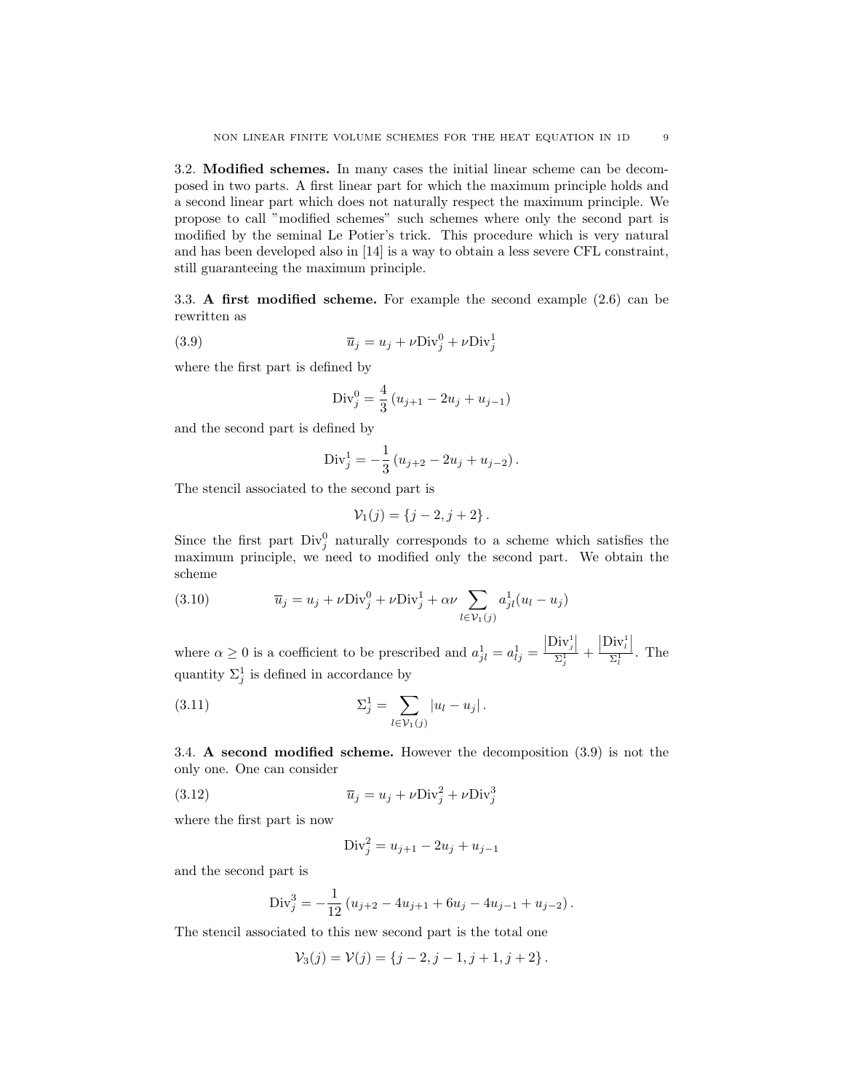3.2. Modified schemes. In many cases the initial linear scheme can be decomposed in two parts. A first linear part for which the maximum principle holds and a second linear part which does not naturally respect the maximum principle. We propose to call "modified schemes" such schemes where only the second part is modified by the seminal Le Potier's trick. This procedure which is very natural and has been developed also in [14] is a way to obtain a less severe CFL constraint, still guaranteeing the maximum principle.

3.3. A first modified scheme. For example the second example (2.6) can be rewritten as

(3.9) 
$$
\overline{u}_j = u_j + \nu \text{Div}_j^0 + \nu \text{Div}_j^1
$$

where the first part is defined by

Div<sub>j</sub><sup>0</sup> = 
$$
\frac{4}{3}
$$
 (u<sub>j+1</sub> - 2u<sub>j</sub> + u<sub>j-1</sub>)

and the second part is defined by

Div<sub>j</sub><sup>1</sup> = 
$$
-\frac{1}{3}
$$
 ( $u_{j+2} - 2u_j + u_{j-2}$ ).

The stencil associated to the second part is

$$
\mathcal{V}_1(j) = \{j-2, j+2\} \, .
$$

Since the first part  $Div_j^0$  naturally corresponds to a scheme which satisfies the maximum principle, we need to modified only the second part. We obtain the scheme

(3.10) 
$$
\overline{u}_j = u_j + \nu \text{Div}_j^0 + \nu \text{Div}_j^1 + \alpha \nu \sum_{l \in \mathcal{V}_1(j)} a_{jl}^1 (u_l - u_j)
$$

where  $\alpha \geq 0$  is a coefficient to be prescribed and  $a_{jl}^1 = a_{lj}^1 =$  $\frac{\left|\operatorname{Div}_j^1\right|}{\Sigma_j^1}$  +  $\frac{|\text{Div}_l^1|}{\Sigma_l^1}$ . The quantity  $\Sigma_j^1$  is defined in accordance by

(3.11) 
$$
\Sigma_j^1 = \sum_{l \in \mathcal{V}_1(j)} |u_l - u_j|.
$$

3.4. A second modified scheme. However the decomposition (3.9) is not the only one. One can consider

(3.12) 
$$
\overline{u}_j = u_j + \nu \text{Div}_j^2 + \nu \text{Div}_j^3
$$

where the first part is now

$$
Div_j^2 = u_{j+1} - 2u_j + u_{j-1}
$$

and the second part is

Div<sub>j</sub><sup>3</sup> = 
$$
-\frac{1}{12} (u_{j+2} - 4u_{j+1} + 6u_j - 4u_{j-1} + u_{j-2}).
$$

The stencil associated to this new second part is the total one

$$
\mathcal{V}_3(j) = \mathcal{V}(j) = \{j-2, j-1, j+1, j+2\}.
$$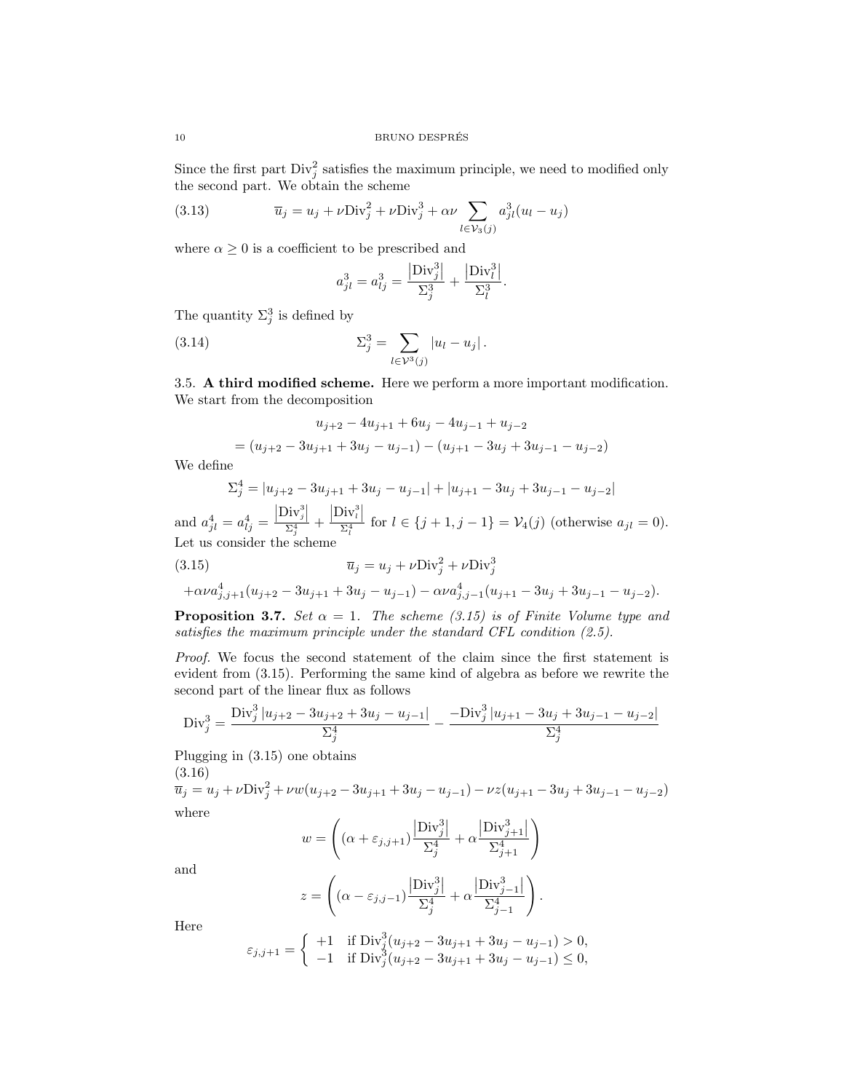Since the first part  $\text{Div}_j^2$  satisfies the maximum principle, we need to modified only the second part. We obtain the scheme

(3.13) 
$$
\overline{u}_j = u_j + \nu \text{Div}_j^2 + \nu \text{Div}_j^3 + \alpha \nu \sum_{l \in \mathcal{V}_3(j)} a_{jl}^3 (u_l - u_j)
$$

where  $\alpha \geq 0$  is a coefficient to be prescribed and

$$
a_{jl}^3 = a_{lj}^3 = \frac{|\text{Div}_j^3|}{\Sigma_j^3} + \frac{|\text{Div}_l^3|}{\Sigma_l^3}.
$$

The quantity  $\Sigma_j^3$  is defined by

(3.14) 
$$
\Sigma_j^3 = \sum_{l \in \mathcal{V}^3(j)} |u_l - u_j|.
$$

3.5. A third modified scheme. Here we perform a more important modification. We start from the decomposition

$$
u_{j+2} - 4u_{j+1} + 6u_j - 4u_{j-1} + u_{j-2}
$$
  
=  $(u_{j+2} - 3u_{j+1} + 3u_j - u_{j-1}) - (u_{j+1} - 3u_j + 3u_{j-1} - u_{j-2})$ 

We define

$$
\Sigma_j^4 = |u_{j+2} - 3u_{j+1} + 3u_j - u_{j-1}| + |u_{j+1} - 3u_j + 3u_{j-1} - u_{j-2}|
$$

and  $a_{jl}^4 = a_{lj}^4 =$  $\frac{\left|\text{Div}_j^3\right|}{\Sigma_j^4}$  +  $\frac{\left|\text{Div}_l^3\right|}{\Sigma_l^4}$  for  $l \in \{j+1, j-1\} = \mathcal{V}_4(j)$  (otherwise  $a_{jl} = 0$ ). Let us consider the scheme

(3.15) 
$$
\overline{u}_j = u_j + \nu \text{Div}_j^2 + \nu \text{Div}_j^3
$$

$$
+\alpha\nu a_{j,j+1}^4(u_{j+2}-3u_{j+1}+3u_j-u_{j-1})-\alpha\nu a_{j,j-1}^4(u_{j+1}-3u_j+3u_{j-1}-u_{j-2}).
$$

**Proposition 3.7.** Set  $\alpha = 1$ . The scheme (3.15) is of Finite Volume type and satisfies the maximum principle under the standard CFL condition (2.5).

Proof. We focus the second statement of the claim since the first statement is evident from (3.15). Performing the same kind of algebra as before we rewrite the second part of the linear flux as follows

$$
\text{Div}_j^3 = \frac{\text{Div}_j^3 \left| u_{j+2} - 3u_{j+2} + 3u_j - u_{j-1} \right|}{\sum_j^4} - \frac{-\text{Div}_j^3 \left| u_{j+1} - 3u_j + 3u_{j-1} - u_{j-2} \right|}{\sum_j^4}
$$

Plugging in (3.15) one obtains (3.16)

$$
\overline{u}_j = u_j + \nu \text{Div}_j^2 + \nu w (u_{j+2} - 3u_{j+1} + 3u_j - u_{j-1}) - \nu z (u_{j+1} - 3u_j + 3u_{j-1} - u_{j-2})
$$
  
where

$$
w = \left( (\alpha + \varepsilon_{j,j+1}) \frac{\left| \text{Div}_{j}^3 \right|}{\Sigma_j^4} + \alpha \frac{\left| \text{Div}_{j+1}^3 \right|}{\Sigma_{j+1}^4} \right)
$$

and

$$
z = \left( (\alpha - \varepsilon_{j,j-1}) \frac{|{\rm Div}_j^3|}{\Sigma_j^4} + \alpha \frac{|{\rm Div}_{j-1}^3|}{\Sigma_{j-1}^4} \right).
$$

Here

$$
\varepsilon_{j,j+1} = \begin{cases}\n+1 & \text{if } \text{Div}_{j}^{3}(u_{j+2} - 3u_{j+1} + 3u_{j} - u_{j-1}) > 0, \\
-1 & \text{if } \text{Div}_{j}^{3}(u_{j+2} - 3u_{j+1} + 3u_{j} - u_{j-1}) \le 0,\n\end{cases}
$$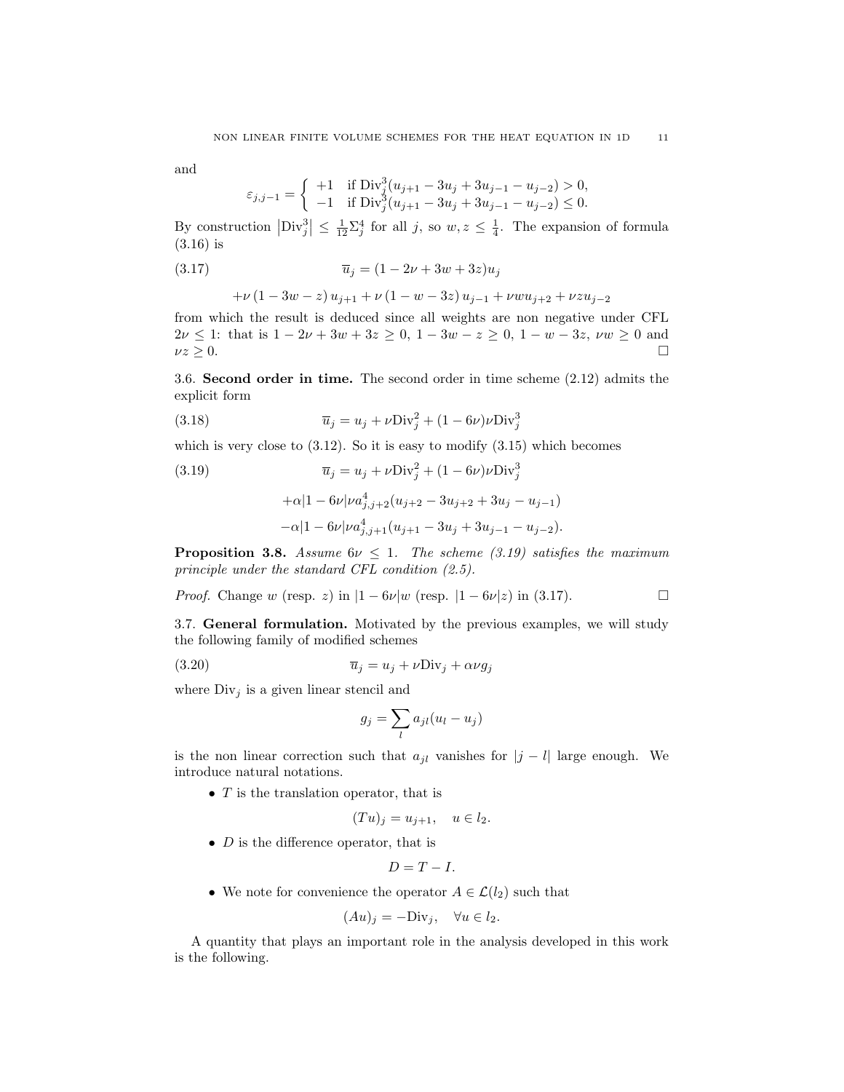and

$$
\varepsilon_{j,j-1} = \begin{cases}\n+1 & \text{if } \text{Div}_j^3(u_{j+1} - 3u_j + 3u_{j-1} - u_{j-2}) > 0, \\
-1 & \text{if } \text{Div}_j^3(u_{j+1} - 3u_j + 3u_{j-1} - u_{j-2}) \le 0.\n\end{cases}
$$

By construction  $|\text{Div}_j^3| \leq \frac{1}{12} \sum_j^4$  for all j, so  $w, z \leq \frac{1}{4}$ . The expansion of formula (3.16) is

$$
\overline{u}_j = (1 - 2\nu + 3w + 3z)u_j
$$

$$
+\nu\left(1-3w-z\right)u_{j+1}+\nu\left(1-w-3z\right)u_{j-1}+\nu w u_{j+2}+\nu z u_{j-2}
$$

from which the result is deduced since all weights are non negative under CFL  $2\nu \leq 1$ : that is  $1 - 2\nu + 3w + 3z \geq 0$ ,  $1 - 3w - z \geq 0$ ,  $1 - w - 3z$ ,  $\nu w \geq 0$  and  $\nu z \geq 0.$ 

3.6. Second order in time. The second order in time scheme (2.12) admits the explicit form

(3.18) 
$$
\overline{u}_j = u_j + \nu \text{Div}_j^2 + (1 - 6\nu)\nu \text{Div}_j^3
$$

which is very close to  $(3.12)$ . So it is easy to modify  $(3.15)$  which becomes

(3.19) 
$$
\overline{u}_j = u_j + \nu \text{Div}_j^2 + (1 - 6\nu)\nu \text{Div}_j^3 + \alpha |1 - 6\nu|\nu a_{j,j+2}^4 (u_{j+2} - 3u_{j+2} + 3u_j - u_{j-1}) -\alpha |1 - 6\nu|\nu a_{j,j+1}^4 (u_{j+1} - 3u_j + 3u_{j-1} - u_{j-2}).
$$

**Proposition 3.8.** Assume  $6\nu \leq 1$ . The scheme (3.19) satisfies the maximum principle under the standard CFL condition (2.5).

*Proof.* Change w (resp. z) in  $|1 - 6\nu|$  (resp.  $|1 - 6\nu|$  z) in (3.17).

3.7. General formulation. Motivated by the previous examples, we will study the following family of modified schemes

$$
\overline{u}_j = u_j + \nu \text{Div}_j + \alpha \nu g_j
$$

where  $Div_i$  is a given linear stencil and

$$
g_j = \sum_l a_{jl} (u_l - u_j)
$$

is the non linear correction such that  $a_{jl}$  vanishes for  $|j - l|$  large enough. We introduce natural notations.

• T is the translation operator, that is

$$
(Tu)_j = u_{j+1}, \quad u \in l_2.
$$

•  $D$  is the difference operator, that is

$$
D=T-I.
$$

• We note for convenience the operator  $A \in \mathcal{L}(l_2)$  such that

$$
(Au)_j = -\text{Div}_j, \quad \forall u \in l_2.
$$

A quantity that plays an important role in the analysis developed in this work is the following.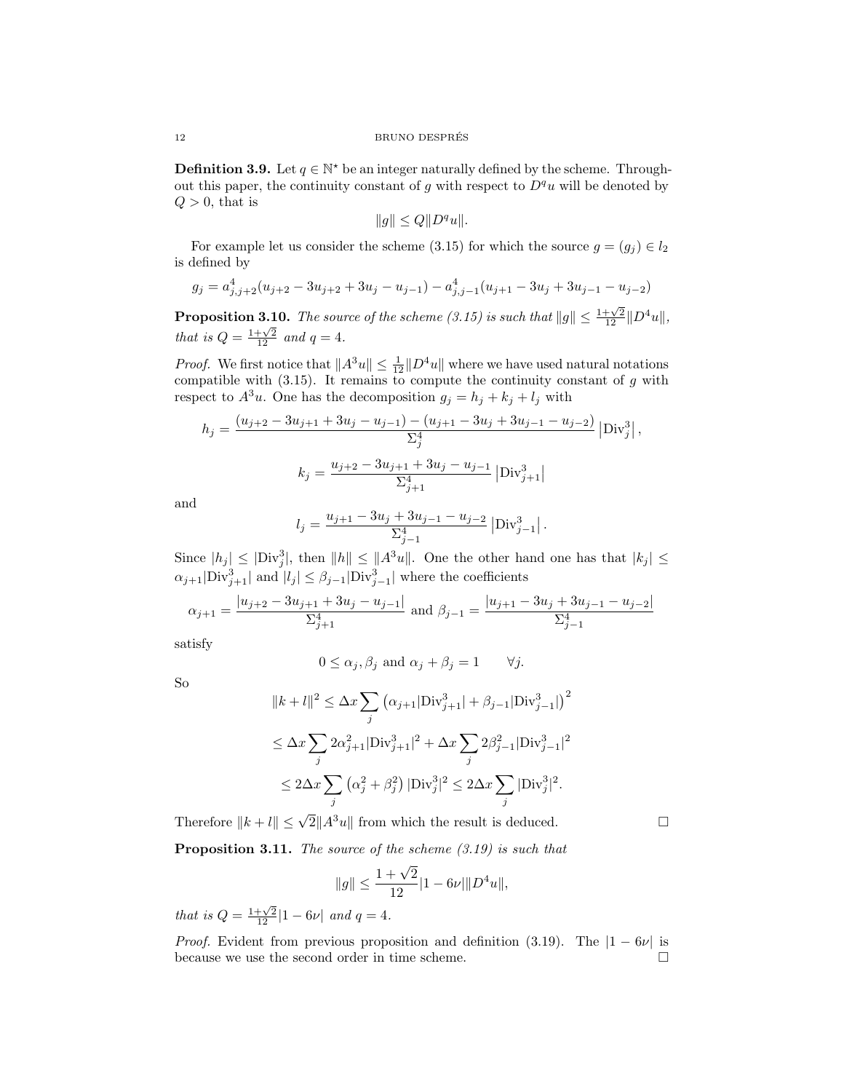**Definition 3.9.** Let  $q \in \mathbb{N}^*$  be an integer naturally defined by the scheme. Throughout this paper, the continuity constant of g with respect to  $D^qu$  will be denoted by  $Q > 0$ , that is

$$
||g|| \le Q||D^qu||.
$$

For example let us consider the scheme (3.15) for which the source  $g = (g_j) \in l_2$ is defined by

$$
g_j = a_{j,j+2}^4(u_{j+2} - 3u_{j+2} + 3u_j - u_{j-1}) - a_{j,j-1}^4(u_{j+1} - 3u_j + 3u_{j-1} - u_{j-2})
$$

**Proposition 3.10.** The source of the scheme (3.15) is such that  $||g|| \leq \frac{1+\sqrt{2}}{12} ||D^4u||$ , that is  $Q = \frac{1+\sqrt{2}}{12}$  and  $q = 4$ .

*Proof.* We first notice that  $||A^3u|| \le \frac{1}{12}||D^4u||$  where we have used natural notations compatible with  $(3.15)$ . It remains to compute the continuity constant of g with respect to  $A^3u$ . One has the decomposition  $g_j = h_j + k_j + l_j$  with

$$
h_j = \frac{(u_{j+2} - 3u_{j+1} + 3u_j - u_{j-1}) - (u_{j+1} - 3u_j + 3u_{j-1} - u_{j-2})}{\sum_{j}^4} |Div_j^3|,
$$
  

$$
k_j = \frac{u_{j+2} - 3u_{j+1} + 3u_j - u_{j-1}}{\sum_{j+1}^4} |Div_{j+1}^3|
$$

and

$$
l_j = \frac{u_{j+1} - 3u_j + 3u_{j-1} - u_{j-2}}{\Sigma_{j-1}^4} \left| \text{Div}_{j-1}^3 \right|.
$$

Since  $|h_j| \leq |\text{Div}_j^3|$ , then  $||h|| \leq ||A^3u||$ . One the other hand one has that  $|k_j| \leq$  $\alpha_{j+1}|\text{Div}_{j+1}^3|$  and  $|l_j| \leq \beta_{j-1}|\text{Div}_{j-1}^3|$  where the coefficients

$$
\alpha_{j+1} = \frac{|u_{j+2} - 3u_{j+1} + 3u_j - u_{j-1}|}{\sum_{j+1}^4} \text{ and } \beta_{j-1} = \frac{|u_{j+1} - 3u_j + 3u_{j-1} - u_{j-2}|}{\sum_{j-1}^4}
$$

satisfy

$$
0 \le \alpha_j, \beta_j
$$
 and  $\alpha_j + \beta_j = 1$   $\forall j$ .

So

$$
||k + l||^{2} \leq \Delta x \sum_{j} (\alpha_{j+1}|\text{Div}_{j+1}^{3}| + \beta_{j-1}|\text{Div}_{j-1}^{3}|)^{2}
$$
  
\n
$$
\leq \Delta x \sum_{j} 2\alpha_{j+1}^{2}|\text{Div}_{j+1}^{3}|^{2} + \Delta x \sum_{j} 2\beta_{j-1}^{2}|\text{Div}_{j-1}^{3}|^{2}
$$
  
\n
$$
\leq 2\Delta x \sum_{j} (\alpha_{j}^{2} + \beta_{j}^{2})|\text{Div}_{j}^{3}|^{2} \leq 2\Delta x \sum_{j} |\text{Div}_{j}^{3}|^{2}.
$$

Therefore  $||k + l|| \leq \sqrt{2} ||A^3u||$  from which the result is deduced.

**Proposition 3.11.** The source of the scheme  $(3.19)$  is such that

$$
||g|| \le \frac{1+\sqrt{2}}{12}|1-6\nu| ||D^4u||,
$$

that is  $Q = \frac{1+\sqrt{2}}{12} |1-6\nu|$  and  $q = 4$ .

*Proof.* Evident from previous proposition and definition (3.19). The  $|1 - 6\nu|$  is because we use the second order in time scheme.  $\Box$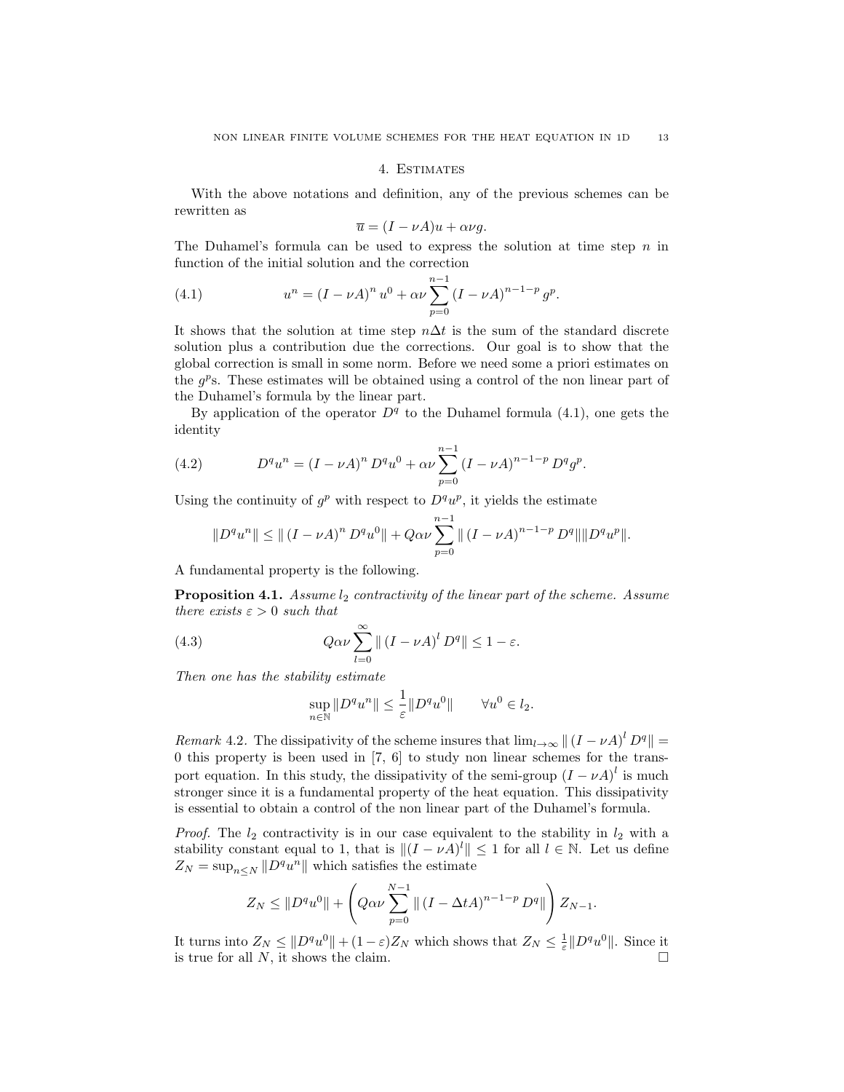### 4. Estimates

With the above notations and definition, any of the previous schemes can be rewritten as

$$
\overline{u} = (I - \nu A)u + \alpha \nu g.
$$

The Duhamel's formula can be used to express the solution at time step  $n$  in function of the initial solution and the correction

(4.1) 
$$
u^{n} = (I - \nu A)^{n} u^{0} + \alpha \nu \sum_{p=0}^{n-1} (I - \nu A)^{n-1-p} g^{p}.
$$

It shows that the solution at time step  $n\Delta t$  is the sum of the standard discrete solution plus a contribution due the corrections. Our goal is to show that the global correction is small in some norm. Before we need some a priori estimates on the  $g^p$ s. These estimates will be obtained using a control of the non linear part of the Duhamel's formula by the linear part.

By application of the operator  $D<sup>q</sup>$  to the Duhamel formula (4.1), one gets the identity

(4.2) 
$$
D^q u^n = (I - \nu A)^n D^q u^0 + \alpha \nu \sum_{p=0}^{n-1} (I - \nu A)^{n-1-p} D^q g^p.
$$

Using the continuity of  $g^p$  with respect to  $D^q u^p$ , it yields the estimate

$$
||D^{q}u^{n}|| \leq ||(I - \nu A)^{n} D^{q}u^{0}|| + Q\alpha\nu \sum_{p=0}^{n-1} ||(I - \nu A)^{n-1-p} D^{q}|| ||D^{q}u^{p}||.
$$

A fundamental property is the following.

**Proposition 4.1.** Assume  $l_2$  contractivity of the linear part of the scheme. Assume there exists  $\varepsilon > 0$  such that

(4.3) 
$$
Q\alpha\nu\sum_{l=0}^{\infty} \|\left(I-\nu A\right)^{l}D^{q}\| \leq 1-\varepsilon.
$$

Then one has the stability estimate

$$
\sup_{n\in\mathbb{N}}\|D^qu^n\|\leq \frac{1}{\varepsilon}\|D^qu^0\|\qquad\forall u^0\in l_2.
$$

Remark 4.2. The dissipativity of the scheme insures that  $\lim_{l\to\infty} || (I - \nu A)^l D^q || =$ 0 this property is been used in [7, 6] to study non linear schemes for the transport equation. In this study, the dissipativity of the semi-group  $(I - \nu A)^l$  is much stronger since it is a fundamental property of the heat equation. This dissipativity is essential to obtain a control of the non linear part of the Duhamel's formula.

*Proof.* The  $l_2$  contractivity is in our case equivalent to the stability in  $l_2$  with a stability constant equal to 1, that is  $||(I - \nu A)^l|| \leq 1$  for all  $l \in \mathbb{N}$ . Let us define  $Z_N = \sup_{n \le N} ||D^q u^n||$  which satisfies the estimate

$$
Z_N \leq ||D^q u^0|| + \left(Q\alpha \nu \sum_{p=0}^{N-1} ||(I - \Delta t A)^{n-1-p} D^q||\right) Z_{N-1}.
$$

It turns into  $Z_N \leq ||D^q u^0|| + (1 - \varepsilon)Z_N$  which shows that  $Z_N \leq \frac{1}{\varepsilon} ||D^q u^0||$ . Since it is true for all  $N$ , it shows the claim.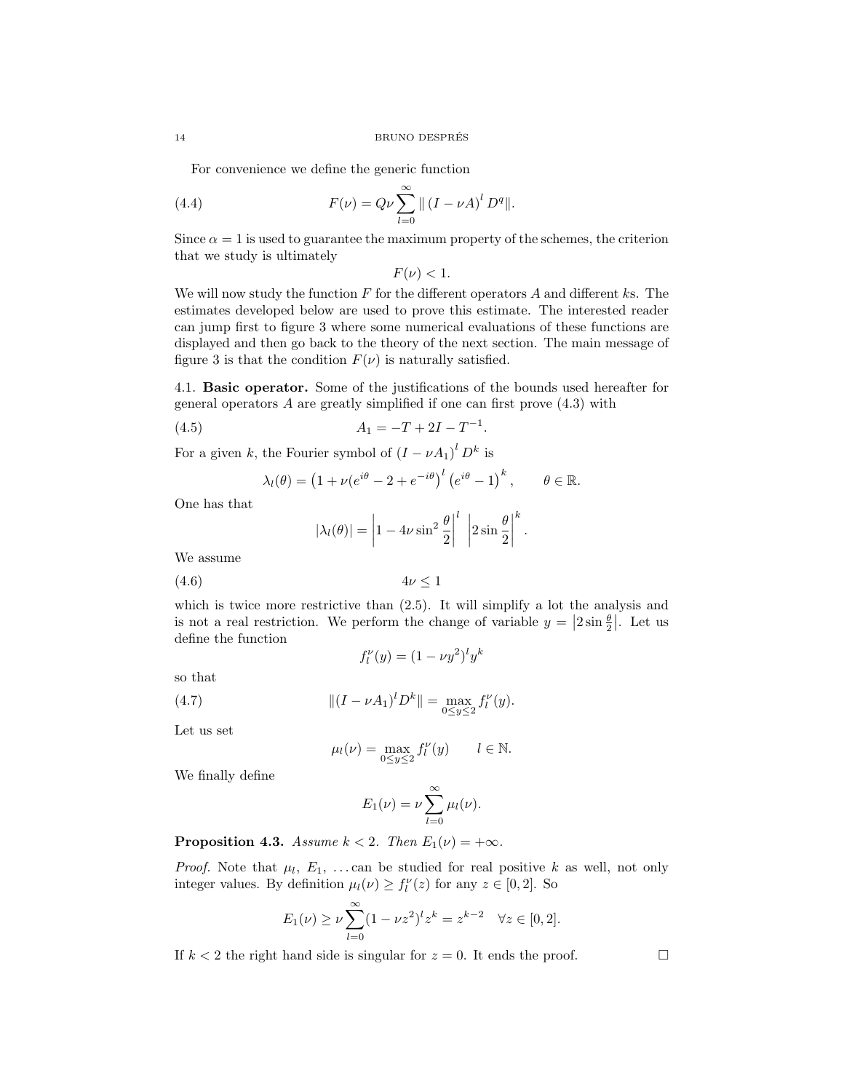For convenience we define the generic function

(4.4) 
$$
F(\nu) = Q\nu \sum_{l=0}^{\infty} || (I - \nu A)^{l} D^{q} ||.
$$

Since  $\alpha = 1$  is used to guarantee the maximum property of the schemes, the criterion that we study is ultimately

 $F(\nu) < 1.$ 

We will now study the function  $F$  for the different operators  $A$  and different ks. The estimates developed below are used to prove this estimate. The interested reader can jump first to figure 3 where some numerical evaluations of these functions are displayed and then go back to the theory of the next section. The main message of figure 3 is that the condition  $F(\nu)$  is naturally satisfied.

4.1. Basic operator. Some of the justifications of the bounds used hereafter for general operators A are greatly simplified if one can first prove (4.3) with

.

$$
(4.5) \t\t A_1 = -T + 2I - T^{-1}
$$

For a given k, the Fourier symbol of  $(I - \nu A_1)^l D^k$  is

$$
\lambda_l(\theta) = \left(1 + \nu(e^{i\theta} - 2 + e^{-i\theta})^l \left(e^{i\theta} - 1\right)^k, \qquad \theta \in \mathbb{R}.
$$

One has that

$$
|\lambda_l(\theta)| = \left|1 - 4\nu\sin^2\frac{\theta}{2}\right|^l \left|2\sin\frac{\theta}{2}\right|^k.
$$

We assume

$$
(4.6) \t\t 4\nu \le 1
$$

which is twice more restrictive than  $(2.5)$ . It will simplify a lot the analysis and is not a real restriction. We perform the change of variable  $y = |2 \sin \frac{\theta}{2}|$ . Let us define the function

 $f_l^{\nu}(y) = (1 - \nu y^2)^l y^k$ 

$$
so\ that
$$

(4.7) 
$$
\| (I - \nu A_1)^l D^k \| = \max_{0 \le y \le 2} f_l^{\nu}(y).
$$

Let us set

$$
\mu_l(\nu) = \max_{0 \le y \le 2} f_l^{\nu}(y) \qquad l \in \mathbb{N}.
$$

We finally define

$$
E_1(\nu) = \nu \sum_{l=0}^{\infty} \mu_l(\nu).
$$

**Proposition 4.3.** Assume  $k < 2$ . Then  $E_1(\nu) = +\infty$ .

*Proof.* Note that  $\mu_l$ ,  $E_1$ , ...can be studied for real positive k as well, not only integer values. By definition  $\mu_l(\nu) \geq f_l^{\nu}(z)$  for any  $z \in [0, 2]$ . So

$$
E_1(\nu) \ge \nu \sum_{l=0}^{\infty} (1 - \nu z^2)^l z^k = z^{k-2} \quad \forall z \in [0,2].
$$

If  $k < 2$  the right hand side is singular for  $z = 0$ . It ends the proof.

$$
^{14}
$$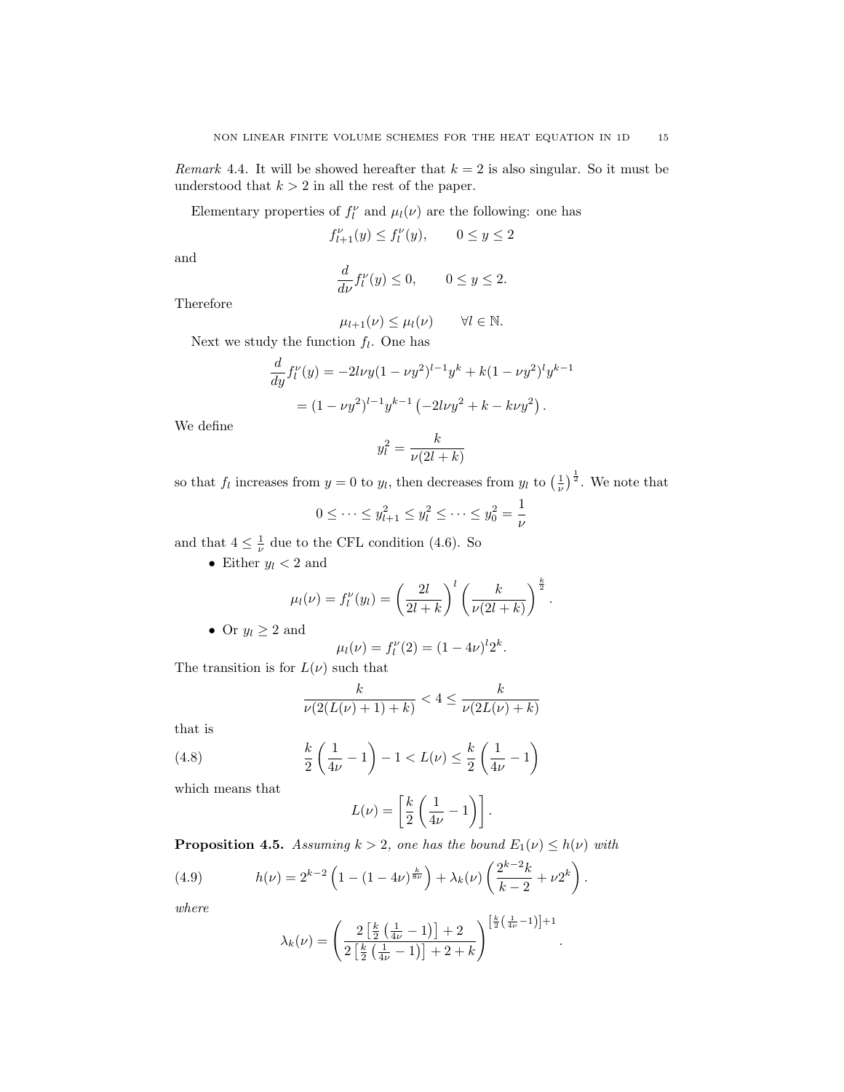Remark 4.4. It will be showed hereafter that  $k = 2$  is also singular. So it must be understood that  $k > 2$  in all the rest of the paper.

Elementary properties of  $f_l^{\nu}$  and  $\mu_l(\nu)$  are the following: one has

$$
f_{l+1}^{\nu}(y) \le f_l^{\nu}(y), \qquad 0 \le y \le 2
$$

and

$$
\frac{d}{d\nu}f_l^{\nu}(y) \le 0, \qquad 0 \le y \le 2.
$$

Therefore

$$
\mu_{l+1}(\nu) \leq \mu_l(\nu) \qquad \forall l \in \mathbb{N}.
$$

Next we study the function  $f_l$ . One has

$$
\frac{d}{dy}f_l^{\nu}(y) = -2l\nu y(1 - \nu y^2)^{l-1}y^k + k(1 - \nu y^2)^l y^{k-1}
$$

$$
= (1 - \nu y^2)^{l-1}y^{k-1} (-2l\nu y^2 + k - k\nu y^2).
$$

We define

$$
y_l^2 = \frac{k}{\nu(2l+k)}
$$

so that  $f_l$  increases from  $y = 0$  to  $y_l$ , then decreases from  $y_l$  to  $\left(\frac{1}{\nu}\right)^{\frac{1}{2}}$ . We note that

$$
0 \le \dots \le y_{l+1}^2 \le y_l^2 \le \dots \le y_0^2 = \frac{1}{\nu}
$$

and that  $4 \leq \frac{1}{\nu}$  due to the CFL condition (4.6). So

• Either  $y_l < 2$  and

$$
\mu_l(\nu) = f_l^{\nu}(y_l) = \left(\frac{2l}{2l+k}\right)^l \left(\frac{k}{\nu(2l+k)}\right)^{\frac{k}{2}}.
$$
  
• Or  $y_l \ge 2$  and

$$
\mu_l(\nu) = f_l^{\nu}(2) = (1 - 4\nu)^l 2^k.
$$

The transition is for  $L(\nu)$  such that

$$
\frac{k}{\nu(2(L(\nu)+1)+k)} < 4 \le \frac{k}{\nu(2L(\nu)+k)}
$$

that is

(4.8) 
$$
\frac{k}{2} \left( \frac{1}{4\nu} - 1 \right) - 1 < L(\nu) \leq \frac{k}{2} \left( \frac{1}{4\nu} - 1 \right)
$$

which means that

$$
L(\nu) = \left[\frac{k}{2}\left(\frac{1}{4\nu} - 1\right)\right].
$$

**Proposition 4.5.** Assuming  $k > 2$ , one has the bound  $E_1(\nu) \leq h(\nu)$  with

(4.9) 
$$
h(\nu) = 2^{k-2} \left( 1 - (1 - 4\nu)^{\frac{k}{8\nu}} \right) + \lambda_k(\nu) \left( \frac{2^{k-2}k}{k-2} + \nu 2^k \right).
$$

where

$$
\lambda_k(\nu) = \left(\frac{2\left[\frac{k}{2}\left(\frac{1}{4\nu}-1\right)\right]+2}{2\left[\frac{k}{2}\left(\frac{1}{4\nu}-1\right)\right]+2+k}\right)^{\left[\frac{k}{2}\left(\frac{1}{4\nu}-1\right)\right]+1}
$$

.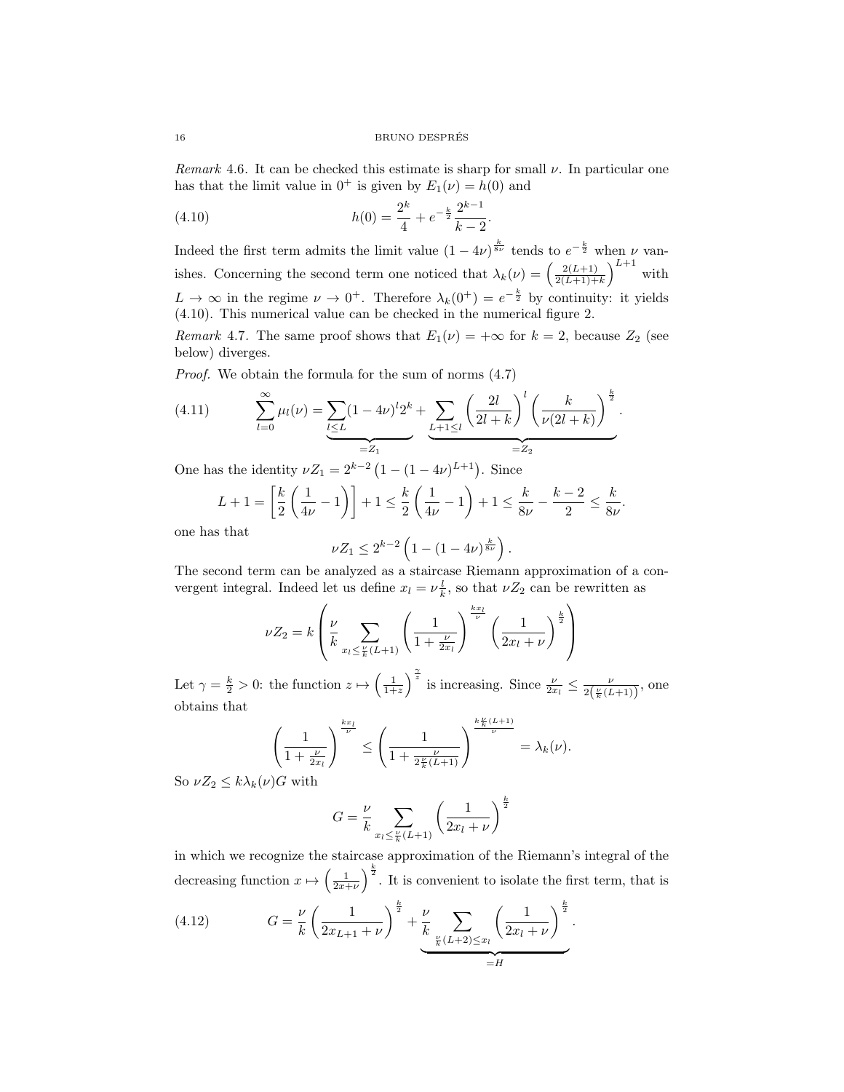Remark 4.6. It can be checked this estimate is sharp for small  $\nu$ . In particular one has that the limit value in  $0^+$  is given by  $E_1(\nu) = h(0)$  and

.

(4.10) 
$$
h(0) = \frac{2^k}{4} + e^{-\frac{k}{2}} \frac{2^{k-1}}{k-2}
$$

Indeed the first term admits the limit value  $(1-4\nu)^{\frac{k}{8\nu}}$  tends to  $e^{-\frac{k}{2}}$  when  $\nu$  vanishes. Concerning the second term one noticed that  $\lambda_k(\nu) = \left(\frac{2(L+1)}{2(L+1)+1}\right)$  $\frac{2(L+1)}{2(L+1)+k}$ <sup>L+1</sup> with  $L \to \infty$  in the regime  $\nu \to 0^+$ . Therefore  $\lambda_k(0^+) = e^{-\frac{k}{2}}$  by continuity: it yields (4.10). This numerical value can be checked in the numerical figure 2.

Remark 4.7. The same proof shows that  $E_1(\nu) = +\infty$  for  $k = 2$ , because  $Z_2$  (see below) diverges.

Proof. We obtain the formula for the sum of norms (4.7)

(4.11) 
$$
\sum_{l=0}^{\infty} \mu_l(\nu) = \underbrace{\sum_{l \le L} (1 - 4\nu)^l 2^k}_{=Z_1} + \underbrace{\sum_{L+1 \le l} \left(\frac{2l}{2l+k}\right)^l \left(\frac{k}{\nu(2l+k)}\right)^{\frac{k}{2}}}_{=Z_2}.
$$

One has the identity  $\nu Z_1 = 2^{k-2} (1 - (1 - 4\nu)^{L+1})$ . Since

$$
L + 1 = \left[\frac{k}{2}\left(\frac{1}{4\nu} - 1\right)\right] + 1 \le \frac{k}{2}\left(\frac{1}{4\nu} - 1\right) + 1 \le \frac{k}{8\nu} - \frac{k-2}{2} \le \frac{k}{8\nu}.
$$

one has that

$$
\nu Z_1 \le 2^{k-2} \left( 1 - (1 - 4\nu)^{\frac{k}{8\nu}} \right).
$$

The second term can be analyzed as a staircase Riemann approximation of a convergent integral. Indeed let us define  $x_l = \nu \frac{l}{k}$ , so that  $\nu Z_2$  can be rewritten as

$$
\nu Z_2 = k \left( \frac{\nu}{k} \sum_{x_l \leq \frac{\nu}{k}(L+1)} \left( \frac{1}{1 + \frac{\nu}{2x_l}} \right)^{\frac{k x_l}{\nu}} \left( \frac{1}{2x_l + \nu} \right)^{\frac{k}{2}} \right)
$$

Let  $\gamma = \frac{k}{2} > 0$ : the function  $z \mapsto \left(\frac{1}{1+z}\right)^{\frac{\gamma}{z}}$  is increasing. Since  $\frac{\nu}{2x_l} \leq \frac{\nu}{2(\frac{\nu}{k}(L+1))}$ , one obtains that

$$
\left(\frac{1}{1+\frac{\nu}{2x_l}}\right)^{\frac{kx_l}{\nu}} \le \left(\frac{1}{1+\frac{\nu}{2\frac{\nu}{k}(L+1)}}\right)^{\frac{k\frac{\nu}{k}(L+1)}{\nu}} = \lambda_k(\nu).
$$

So  $\nu Z_2 \leq k \lambda_k(\nu)G$  with

$$
G = \frac{\nu}{k} \sum_{x_l \le \frac{\nu}{k}(L+1)} \left( \frac{1}{2x_l + \nu} \right)^{\frac{k}{2}}
$$

in which we recognize the staircase approximation of the Riemann's integral of the decreasing function  $x \mapsto \left(\frac{1}{2x+\nu}\right)^{\frac{k}{2}}$ . It is convenient to isolate the first term, that is

(4.12) 
$$
G = \frac{\nu}{k} \left( \frac{1}{2x_{L+1} + \nu} \right)^{\frac{k}{2}} + \underbrace{\frac{\nu}{k}}_{\frac{\nu}{k}(L+2) \leq x_l} \left( \frac{1}{2x_l + \nu} \right)^{\frac{k}{2}}.
$$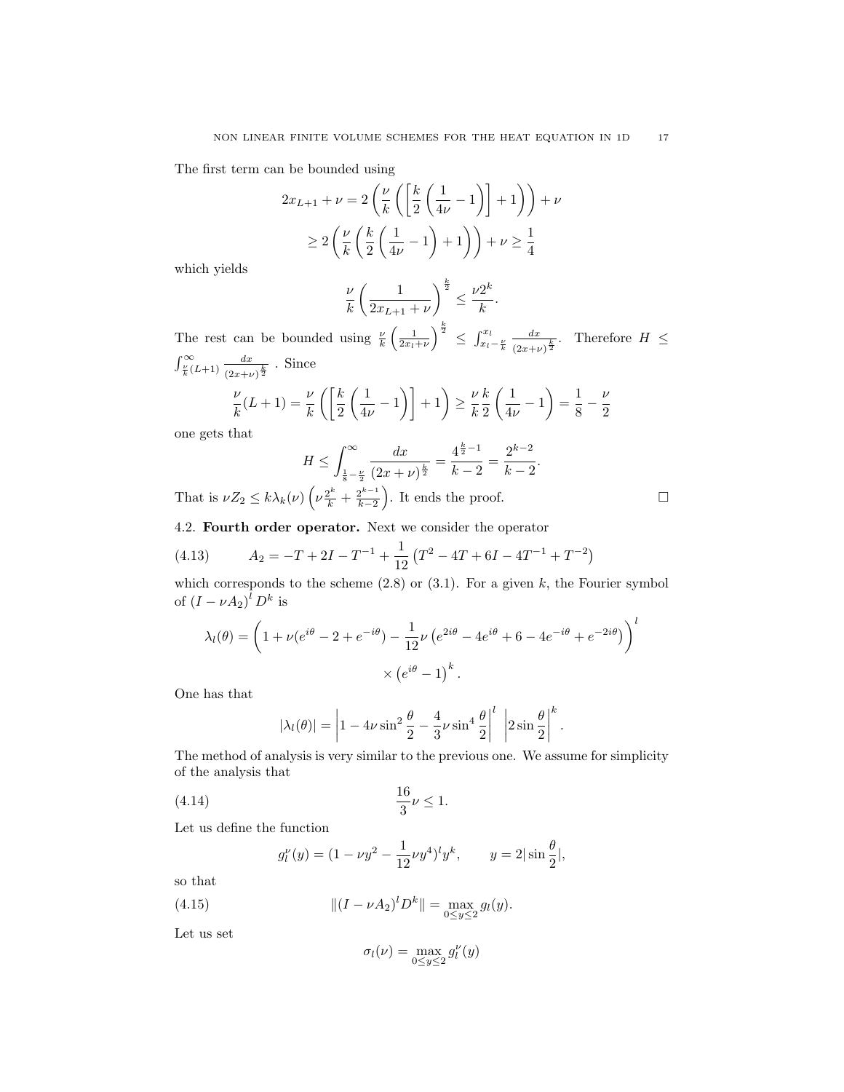The first term can be bounded using

$$
2x_{L+1} + \nu = 2\left(\frac{\nu}{k}\left(\left[\frac{k}{2}\left(\frac{1}{4\nu} - 1\right)\right] + 1\right)\right) + \nu
$$
  
\n
$$
\geq 2\left(\frac{\nu}{k}\left(\frac{k}{2}\left(\frac{1}{4\nu} - 1\right) + 1\right)\right) + \nu \geq \frac{1}{4}
$$

which yields

$$
\frac{\nu}{k} \left( \frac{1}{2x_{L+1} + \nu} \right)^{\frac{k}{2}} \leq \frac{\nu 2^k}{k}.
$$

The rest can be bounded using  $\frac{\nu}{k} \left( \frac{1}{2x_l+\nu} \right)^{\frac{k}{2}} \leq \int_{x_l-\frac{\nu}{k}}^{x_l}$  $d_{x}$  $\frac{dx}{(2x+\nu)^{\frac{k}{2}}}$ . Therefore  $H \leq$  $\int_{\frac{\nu}{k}}^{\infty} (L+1) \frac{dx}{(2x+\nu)}$  $\frac{dx}{(2x+\nu)^{\frac{k}{2}}}$ . Since

$$
\frac{\nu}{k}(L+1) = \frac{\nu}{k}\left(\left[\frac{k}{2}\left(\frac{1}{4\nu}-1\right)\right]+1\right) \ge \frac{\nu}{k}\frac{k}{2}\left(\frac{1}{4\nu}-1\right) = \frac{1}{8} - \frac{\nu}{2}
$$

one gets that

$$
H \le \int_{\frac{1}{8} - \frac{\nu}{2}}^{\infty} \frac{dx}{(2x + \nu)^{\frac{k}{2}}} = \frac{4^{\frac{k}{2} - 1}}{k - 2} = \frac{2^{k - 2}}{k - 2}.
$$

That is  $\nu Z_2 \leq k \lambda_k(\nu) \left(\nu \frac{2^k}{k} + \frac{2^{k-1}}{k-2}\right)$  $\left(\frac{2^{k-1}}{k-2}\right)$ . It ends the proof.

4.2. Fourth order operator. Next we consider the operator

(4.13) 
$$
A_2 = -T + 2I - T^{-1} + \frac{1}{12} (T^2 - 4T + 6I - 4T^{-1} + T^{-2})
$$

which corresponds to the scheme  $(2.8)$  or  $(3.1)$ . For a given k, the Fourier symbol of  $(I - \nu A_2)^l D^k$  is

$$
\lambda_l(\theta) = \left(1 + \nu(e^{i\theta} - 2 + e^{-i\theta}) - \frac{1}{12}\nu(e^{2i\theta} - 4e^{i\theta} + 6 - 4e^{-i\theta} + e^{-2i\theta})\right)^l
$$

$$
\times (e^{i\theta} - 1)^k.
$$

One has that

$$
|\lambda_l(\theta)| = \left| 1 - 4\nu \sin^2 \frac{\theta}{2} - \frac{4}{3}\nu \sin^4 \frac{\theta}{2} \right|^l \left| 2\sin \frac{\theta}{2} \right|^k.
$$

The method of analysis is very similar to the previous one. We assume for simplicity of the analysis that

(4.14) 
$$
\frac{16}{3}\nu \le 1.
$$

Let us define the function

$$
g_l^{\nu}(y) = (1 - \nu y^2 - \frac{1}{12}\nu y^4)^l y^k
$$
,  $y = 2|\sin \frac{\theta}{2}|$ ,

so that

(4.15) 
$$
\| (I - \nu A_2)^l D^k \| = \max_{0 \le y \le 2} g_l(y).
$$

Let us set

$$
\sigma_l(\nu) = \max_{0 \le y \le 2} g_l^{\nu}(y)
$$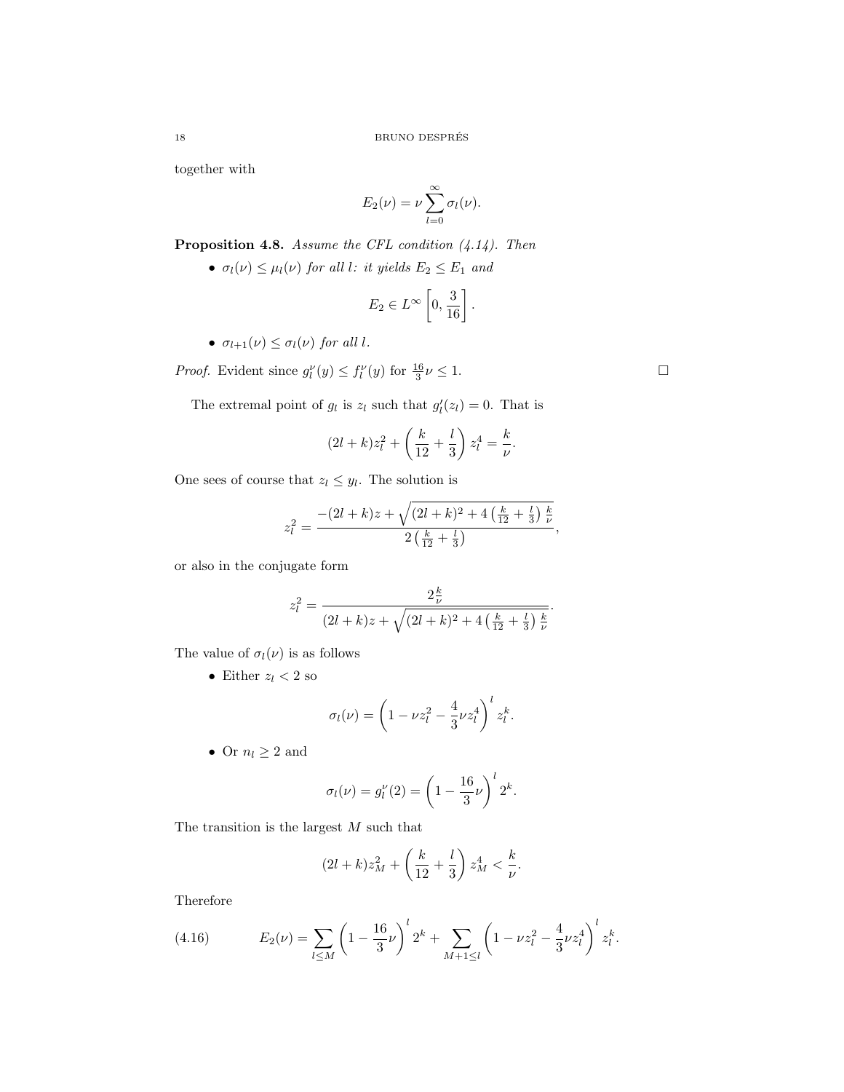together with

$$
E_2(\nu) = \nu \sum_{l=0}^{\infty} \sigma_l(\nu).
$$

**Proposition 4.8.** Assume the CFL condition  $(4.14)$ . Then

•  $\sigma_l(\nu) \leq \mu_l(\nu)$  for all l: it yields  $E_2 \leq E_1$  and

$$
E_2 \in L^{\infty} \left[0, \frac{3}{16}\right].
$$

•  $\sigma_{l+1}(\nu) \leq \sigma_l(\nu)$  for all l.

*Proof.* Evident since  $g_l^{\nu}(y) \leq f_l^{\nu}(y)$  for  $\frac{16}{3}\nu \leq 1$ .

The extremal point of  $g_l$  is  $z_l$  such that  $g'_l(z_l) = 0$ . That is

$$
(2l+k)z_l^2+\left(\frac{k}{12}+\frac{l}{3}\right)z_l^4=\frac{k}{\nu}.
$$

One sees of course that  $z_l \leq y_l$ . The solution is

$$
z_l^2 = \frac{-(2l+k)z + \sqrt{(2l+k)^2 + 4\left(\frac{k}{12} + \frac{l}{3}\right)\frac{k}{\nu}}}{2\left(\frac{k}{12} + \frac{l}{3}\right)},
$$

or also in the conjugate form

$$
z_l^2 = \frac{2\frac{k}{\nu}}{(2l+k)z + \sqrt{(2l+k)^2 + 4\left(\frac{k}{12} + \frac{l}{3}\right)\frac{k}{\nu}}}.
$$

The value of  $\sigma_l(\nu)$  is as follows

• Either  $z_l < 2$  so

$$
\sigma_l(\nu) = \left(1 - \nu z_l^2 - \frac{4}{3}\nu z_l^4\right)^l z_l^k.
$$

• Or  $n_l \geq 2$  and

$$
\sigma_l(\nu) = g_l^{\nu}(2) = \left(1 - \frac{16}{3}\nu\right)^l 2^k.
$$

The transition is the largest  $M$  such that

$$
(2l+k)z_M^2 + \left(\frac{k}{12} + \frac{l}{3}\right)z_M^4 < \frac{k}{\nu}.
$$

Therefore

(4.16) 
$$
E_2(\nu) = \sum_{l \le M} \left(1 - \frac{16}{3}\nu\right)^l 2^k + \sum_{M+1 \le l} \left(1 - \nu z_l^2 - \frac{4}{3}\nu z_l^4\right)^l z_l^k.
$$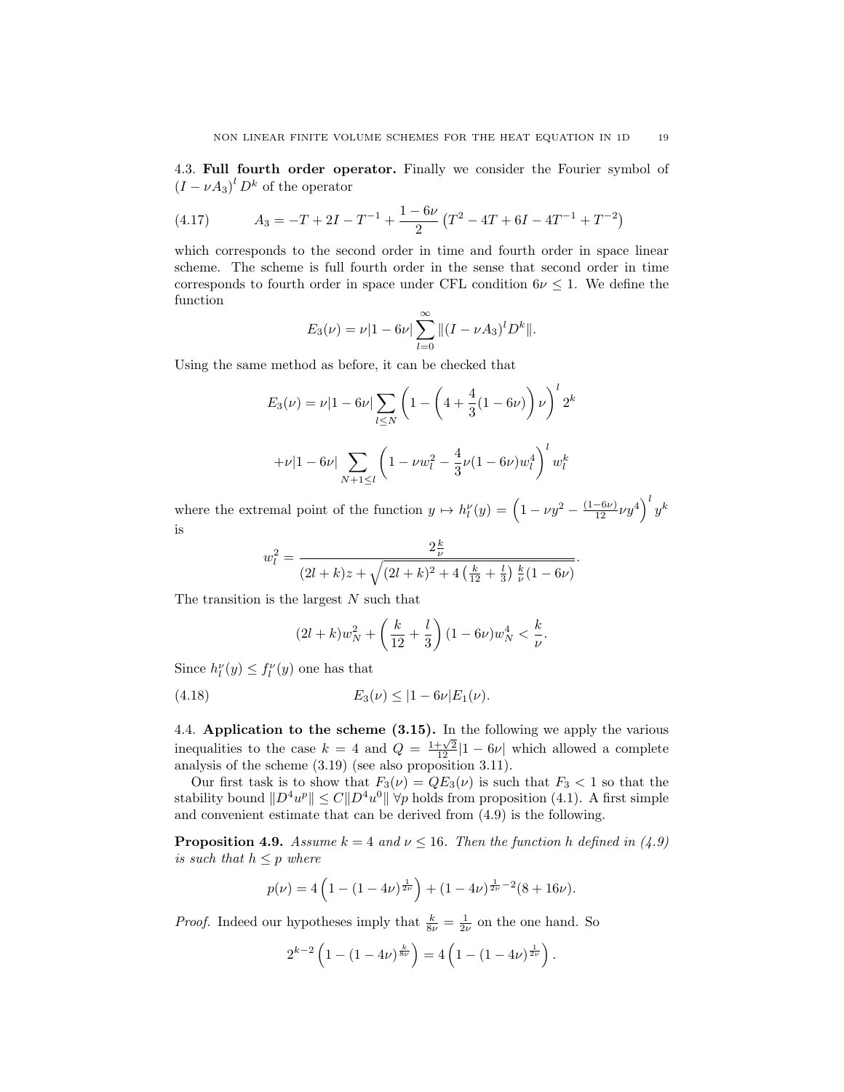4.3. Full fourth order operator. Finally we consider the Fourier symbol of  $(I - \nu A_3)^l D^k$  of the operator

(4.17) 
$$
A_3 = -T + 2I - T^{-1} + \frac{1 - 6\nu}{2} (T^2 - 4T + 6I - 4T^{-1} + T^{-2})
$$

which corresponds to the second order in time and fourth order in space linear scheme. The scheme is full fourth order in the sense that second order in time corresponds to fourth order in space under CFL condition  $6\nu \leq 1$ . We define the function

$$
E_3(\nu) = \nu |1 - 6\nu| \sum_{l=0}^{\infty} ||(I - \nu A_3)^l D^k||.
$$

Using the same method as before, it can be checked that

$$
E_3(\nu) = \nu |1 - 6\nu| \sum_{l \le N} \left( 1 - \left( 4 + \frac{4}{3} (1 - 6\nu) \right) \nu \right)^l 2^k
$$

$$
+ \nu |1 - 6\nu| \sum_{N+1 \le l} \left( 1 - \nu w_l^2 - \frac{4}{3} \nu (1 - 6\nu) w_l^4 \right)^l w_l^k
$$

where the extremal point of the function  $y \mapsto h_l^{\nu}(y) = \left(1 - \nu y^2 - \frac{(1-6\nu)}{12} \nu y^4\right)^l y^k$ is

$$
w_l^2 = \frac{2\frac{k}{\nu}}{(2l+k)z + \sqrt{(2l+k)^2 + 4\left(\frac{k}{12} + \frac{l}{3}\right)\frac{k}{\nu}(1-6\nu)}}.
$$

The transition is the largest  $N$  such that

$$
(2l+k)w_N^2 + \left(\frac{k}{12} + \frac{l}{3}\right)(1 - 6\nu)w_N^4 < \frac{k}{\nu}.
$$

Since  $h_l^{\nu}(y) \leq f_l^{\nu}(y)$  one has that

$$
(4.18) \t\t\t E_3(\nu) \le |1 - 6\nu| E_1(\nu).
$$

4.4. Application to the scheme (3.15). In the following we apply the various inequalities to the case  $k = 4$  and  $Q = \frac{1+\sqrt{2}}{12}|1-6\nu|$  which allowed a complete analysis of the scheme (3.19) (see also proposition 3.11).

Our first task is to show that  $F_3(\nu) = QE_3(\nu)$  is such that  $F_3 < 1$  so that the stability bound  $||D^4u^p|| \leq C||D^4u^0|| \forall p$  holds from proposition (4.1). A first simple and convenient estimate that can be derived from (4.9) is the following.

**Proposition 4.9.** Assume  $k = 4$  and  $\nu \le 16$ . Then the function h defined in (4.9) is such that  $h \leq p$  where

$$
p(\nu) = 4\left(1 - (1 - 4\nu)^{\frac{1}{2\nu}}\right) + (1 - 4\nu)^{\frac{1}{2\nu} - 2}(8 + 16\nu).
$$

*Proof.* Indeed our hypotheses imply that  $\frac{k}{8\nu} = \frac{1}{2\nu}$  on the one hand. So

$$
2^{k-2}\left(1-(1-4\nu)^{\frac{k}{8\nu}}\right) = 4\left(1-(1-4\nu)^{\frac{1}{2\nu}}\right).
$$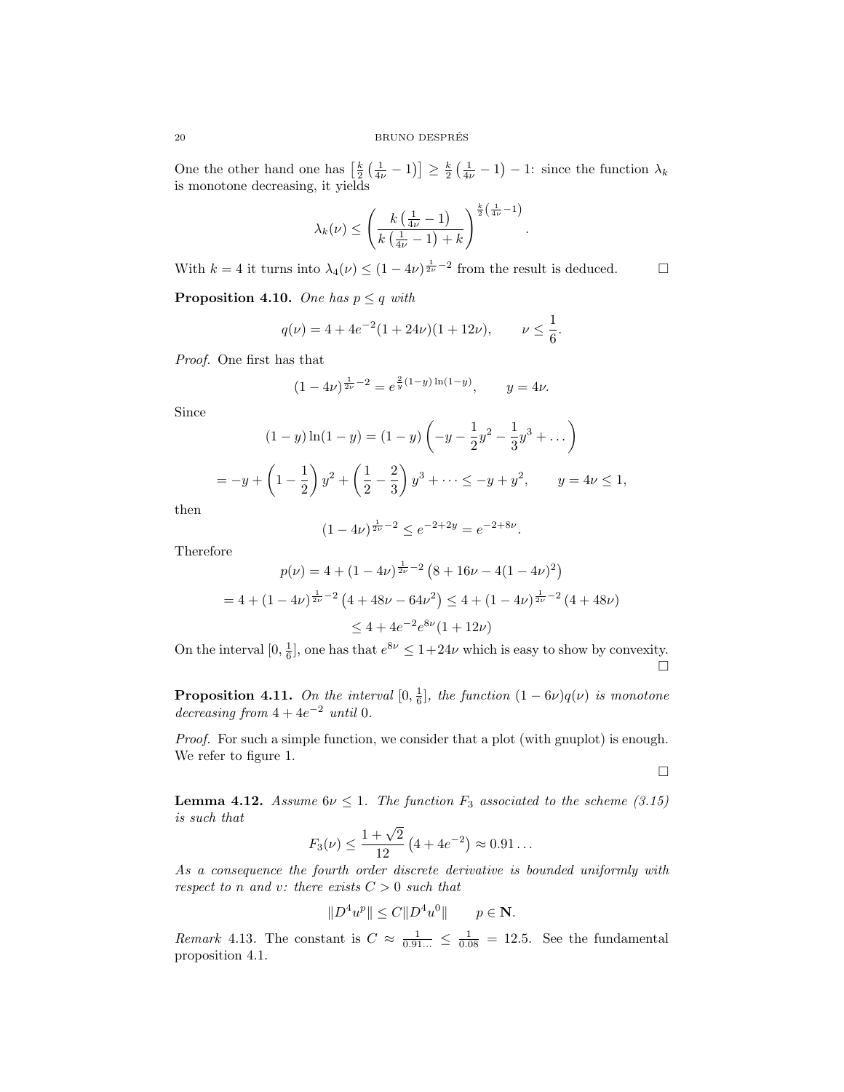One the other hand one has  $\left[\frac{k}{2}\left(\frac{1}{4\nu}-1\right)\right] \ge \frac{k}{2}\left(\frac{1}{4\nu}-1\right) - 1$ : since the function  $\lambda_k$ is monotone decreasing, it yields

$$
\lambda_k(\nu) \le \left(\frac{k\left(\frac{1}{4\nu} - 1\right)}{k\left(\frac{1}{4\nu} - 1\right) + k}\right)^{\frac{k}{2}\left(\frac{1}{4\nu} - 1\right)}
$$

.

With  $k = 4$  it turns into  $\lambda_4(\nu) \le (1 - 4\nu)^{\frac{1}{2\nu} - 2}$  from the result is deduced.

**Proposition 4.10.** One has  $p \leq q$  with

$$
q(\nu) = 4 + 4e^{-2}(1 + 24\nu)(1 + 12\nu), \qquad \nu \le \frac{1}{6}.
$$

Proof. One first has that

$$
(1 - 4\nu)^{\frac{1}{2\nu} - 2} = e^{\frac{2}{y}(1 - y)\ln(1 - y)}, \qquad y = 4\nu.
$$

Since

$$
(1 - y)\ln(1 - y) = (1 - y)\left(-y - \frac{1}{2}y^2 - \frac{1}{3}y^3 + \dots\right)
$$
  
=  $-y + \left(1 - \frac{1}{2}\right)y^2 + \left(\frac{1}{2} - \frac{2}{3}\right)y^3 + \dots \le -y + y^2, \qquad y = 4\nu \le 1,$ 

then

$$
(1 - 4\nu)^{\frac{1}{2\nu} - 2} \le e^{-2 + 2y} = e^{-2 + 8\nu}.
$$

Therefore

$$
p(\nu) = 4 + (1 - 4\nu)^{\frac{1}{2\nu} - 2} (8 + 16\nu - 4(1 - 4\nu)^2)
$$
  
= 4 + (1 - 4\nu)^{\frac{1}{2\nu} - 2} (4 + 48\nu - 64\nu^2) \le 4 + (1 - 4\nu)^{\frac{1}{2\nu} - 2} (4 + 48\nu)  

$$
\le 4 + 4e^{-2}e^{8\nu}(1 + 12\nu)
$$

On the interval  $[0, \frac{1}{6}]$ , one has that  $e^{8\nu} \leq 1+24\nu$  which is easy to show by convexity.  $\Box$ 

**Proposition 4.11.** On the interval  $[0, \frac{1}{6}]$ , the function  $(1 - 6\nu)q(\nu)$  is monotone decreasing from  $4+4e^{-2}$  until 0.

Proof. For such a simple function, we consider that a plot (with gnuplot) is enough. We refer to figure 1.

 $\Box$ 

**Lemma 4.12.** Assume  $6\nu \leq 1$ . The function  $F_3$  associated to the scheme (3.15) is such that

$$
F_3(\nu) \le \frac{1+\sqrt{2}}{12} \left(4 + 4e^{-2}\right) \approx 0.91\dots
$$

As a consequence the fourth order discrete derivative is bounded uniformly with respect to n and v: there exists  $C > 0$  such that

$$
||D^4u^p|| \le C||D^4u^0|| \qquad p \in \mathbf{N}.
$$

*Remark* 4.13. The constant is  $C \approx \frac{1}{0.91...} \leq \frac{1}{0.08} = 12.5$ . See the fundamental proposition 4.1.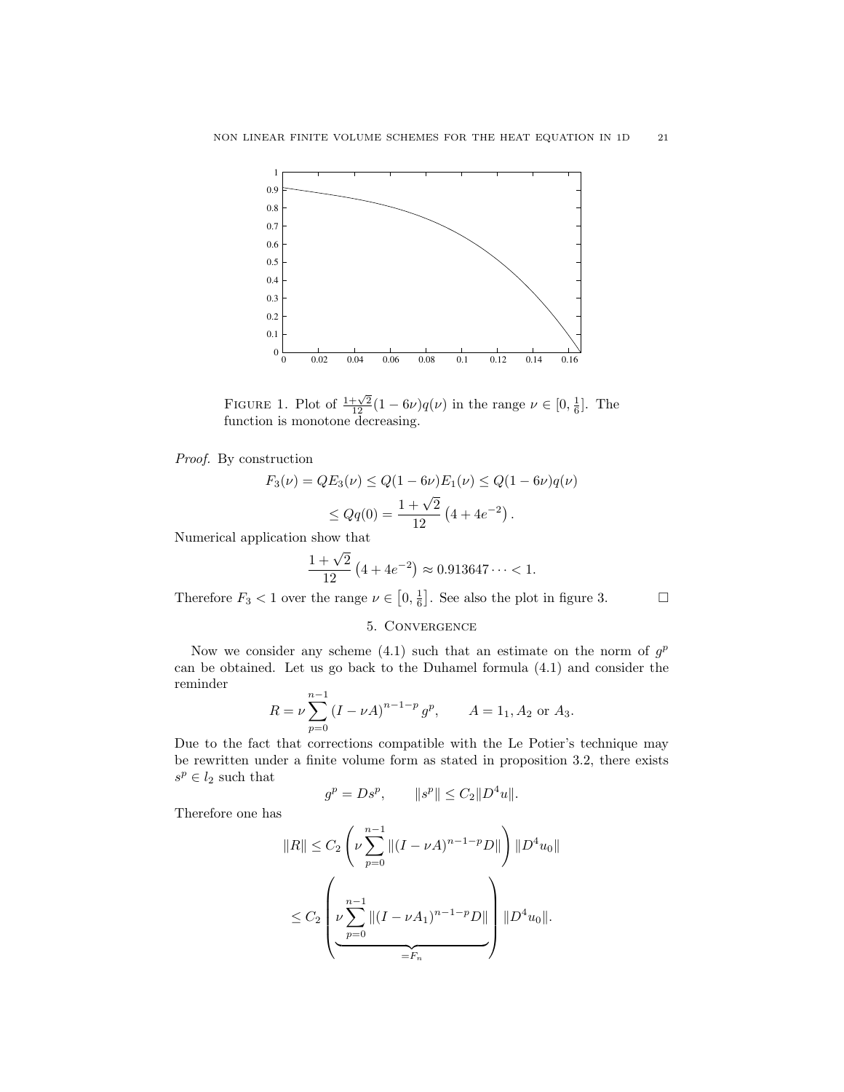

FIGURE 1. Plot of  $\frac{1+\sqrt{2}}{12}(1-6\nu)q(\nu)$  in the range  $\nu \in [0, \frac{1}{6}]$ . The function is monotone decreasing.

Proof. By construction

$$
F_3(\nu) = QE_3(\nu) \le Q(1 - 6\nu)E_1(\nu) \le Q(1 - 6\nu)q(\nu)
$$
  

$$
\le Qq(0) = \frac{1 + \sqrt{2}}{12} (4 + 4e^{-2}).
$$

Numerical application show that

$$
\frac{1+\sqrt{2}}{12} (4+4e^{-2}) \approx 0.913647\dots < 1.
$$

Therefore  $F_3 < 1$  over the range  $\nu \in [0, \frac{1}{6}]$ . See also the plot in figure 3.

## 5. Convergence

Now we consider any scheme (4.1) such that an estimate on the norm of  $g<sup>p</sup>$ can be obtained. Let us go back to the Duhamel formula (4.1) and consider the reminder

$$
R = \nu \sum_{p=0}^{n-1} (I - \nu A)^{n-1-p} g^p, \qquad A = 1_1, A_2 \text{ or } A_3.
$$

Due to the fact that corrections compatible with the Le Potier's technique may be rewritten under a finite volume form as stated in proposition 3.2, there exists  $s^p \in l_2$  such that

$$
g^p = Ds^p
$$
,  $||s^p|| \le C_2 ||D^4u||$ .

Therefore one has

$$
||R|| \leq C_2 \left(\nu \sum_{p=0}^{n-1} ||(I - \nu A)^{n-1-p} D||\right) ||D^4 u_0||
$$
  

$$
\leq C_2 \left(\nu \sum_{p=0}^{n-1} ||(I - \nu A_1)^{n-1-p} D||\right) ||D^4 u_0||.
$$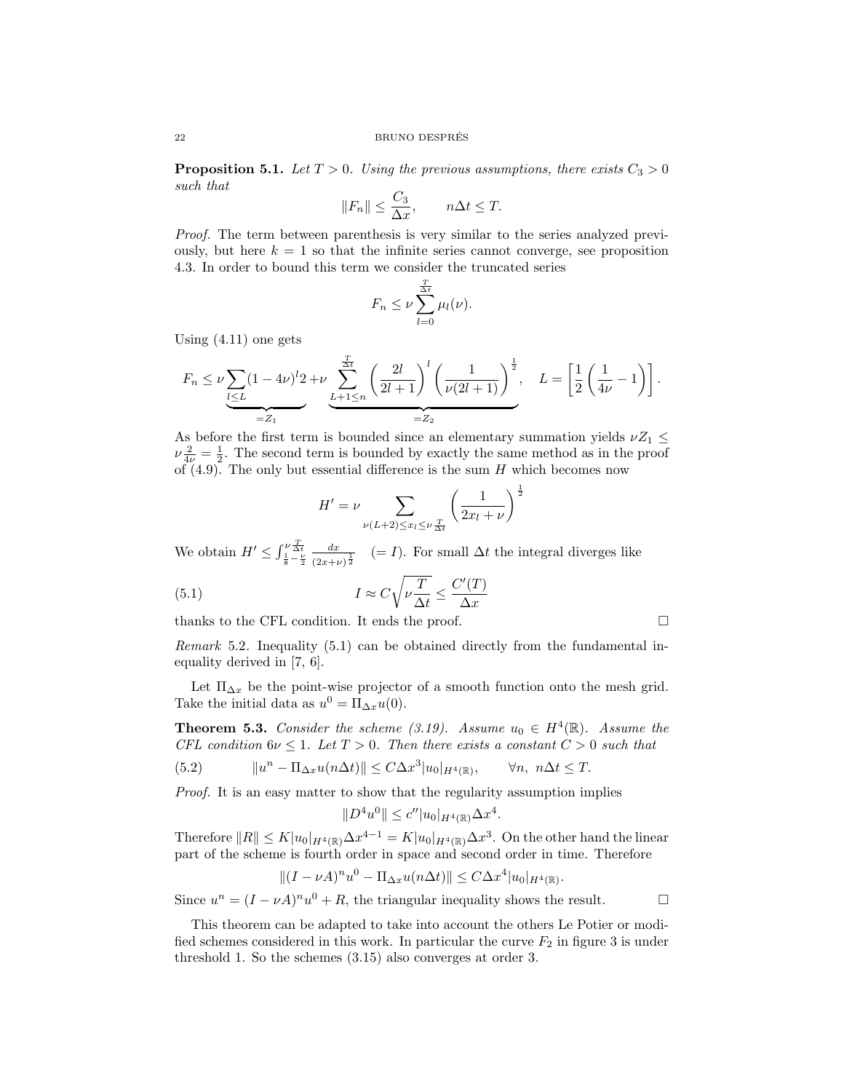**Proposition 5.1.** Let  $T > 0$ . Using the previous assumptions, there exists  $C_3 > 0$ such that

$$
||F_n|| \leq \frac{C_3}{\Delta x}, \qquad n\Delta t \leq T.
$$

Proof. The term between parenthesis is very similar to the series analyzed previously, but here  $k = 1$  so that the infinite series cannot converge, see proposition 4.3. In order to bound this term we consider the truncated series

$$
F_n \leq \nu \sum_{l=0}^{\frac{T}{\Delta t}} \mu_l(\nu).
$$

Using (4.11) one gets

$$
F_n \leq \nu \sum_{l \leq L} (1 - 4\nu)^l 2 + \nu \sum_{L+1 \leq n}^{\frac{T}{\Delta t}} \left( \frac{2l}{2l+1} \right)^l \left( \frac{1}{\nu(2l+1)} \right)^{\frac{1}{2}}, \quad L = \left[ \frac{1}{2} \left( \frac{1}{4\nu} - 1 \right) \right].
$$

As before the first term is bounded since an elementary summation yields  $\nu Z_1 \leq$  $\nu \frac{2}{4\nu} = \frac{1}{2}$ . The second term is bounded by exactly the same method as in the proof of  $(4.9)$ . The only but essential difference is the sum H which becomes now

$$
H' = \nu \sum_{\nu(L+2) \le x_l \le \nu \frac{T}{\Delta t}} \left(\frac{1}{2x_l + \nu}\right)^{\frac{1}{2}}
$$

We obtain  $H' \leq \int_{\frac{1}{8} - \frac{\nu}{2}}^{\nu \frac{T}{\Delta t}}$  $dx$  $\frac{dx}{(2x+\nu)^{\frac{1}{2}}}$  (= I). For small  $\Delta t$  the integral diverges like

(5.1) 
$$
I \approx C \sqrt{\nu \frac{T}{\Delta t}} \le \frac{C'(T)}{\Delta x}
$$

thanks to the CFL condition. It ends the proof.  $\Box$ 

Remark 5.2. Inequality (5.1) can be obtained directly from the fundamental inequality derived in [7, 6].

Let  $\Pi_{\Delta x}$  be the point-wise projector of a smooth function onto the mesh grid. Take the initial data as  $u^0 = \Pi_{\Delta x} u(0)$ .

**Theorem 5.3.** Consider the scheme (3.19). Assume  $u_0 \in H^4(\mathbb{R})$ . Assume the CFL condition  $6\nu \leq 1$ . Let  $T > 0$ . Then there exists a constant  $C > 0$  such that

(5.2) 
$$
||u^n - \Pi_{\Delta x} u(n\Delta t)|| \leq C \Delta x^3 |u_0|_{H^4(\mathbb{R})}, \quad \forall n, \ n\Delta t \leq T.
$$

Proof. It is an easy matter to show that the regularity assumption implies

$$
||D^4u^0|| \le c''|u_0|_{H^4(\mathbb{R})}\Delta x^4.
$$

Therefore  $||R|| \le K|u_0|_{H^4(\mathbb{R})}\Delta x^{4-1} = K|u_0|_{H^4(\mathbb{R})}\Delta x^3$ . On the other hand the linear part of the scheme is fourth order in space and second order in time. Therefore

$$
||(I - \nu A)^n u^0 - \Pi_{\Delta x} u(n\Delta t)|| \leq C \Delta x^4 |u_0|_{H^4(\mathbb{R})}.
$$

Since  $u^n = (I - \nu A)^n u^0 + R$ , the triangular inequality shows the result.

This theorem can be adapted to take into account the others Le Potier or modified schemes considered in this work. In particular the curve  $F_2$  in figure 3 is under threshold 1. So the schemes (3.15) also converges at order 3.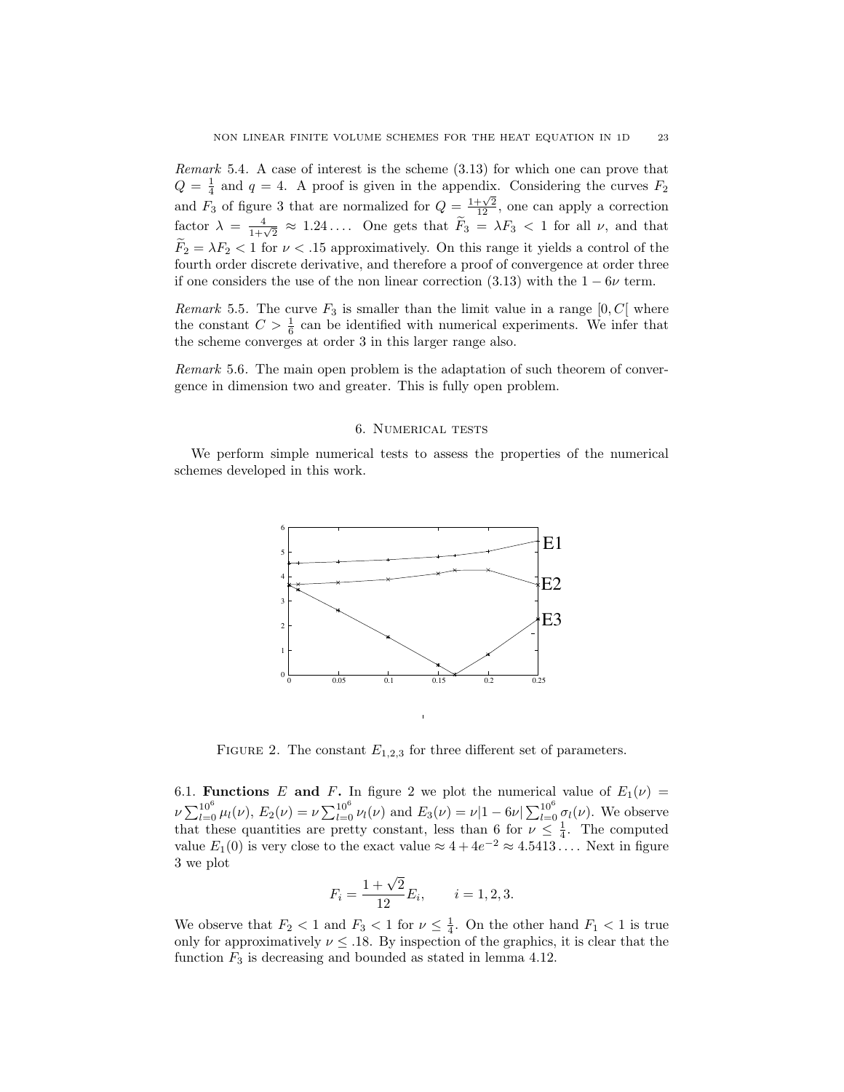Remark 5.4. A case of interest is the scheme (3.13) for which one can prove that  $Q = \frac{1}{4}$  and  $q = 4$ . A proof is given in the appendix. Considering the curves  $F_2$ and  $F_3$  of figure 3 that are normalized for  $Q = \frac{1+\sqrt{2}}{12}$ , one can apply a correction factor  $\lambda = \frac{4}{1+\sqrt{2}} \approx 1.24...$  One gets that  $\widetilde{F}_3 = \lambda F_3 < 1$  for all  $\nu$ , and that  $F_2 = \lambda F_2 < 1$  for  $\nu < 0.15$  approximatively. On this range it yields a control of the fourth order discrete derivative, and therefore a proof of convergence at order three if one considers the use of the non linear correction (3.13) with the  $1 - 6\nu$  term.

Remark 5.5. The curve  $F_3$  is smaller than the limit value in a range  $[0, C]$  where the constant  $C > \frac{1}{6}$  can be identified with numerical experiments. We infer that the scheme converges at order 3 in this larger range also.

Remark 5.6. The main open problem is the adaptation of such theorem of convergence in dimension two and greater. This is fully open problem.

#### 6. Numerical tests

We perform simple numerical tests to assess the properties of the numerical schemes developed in this work.



FIGURE 2. The constant  $E_{1,2,3}$  for three different set of parameters.

6.1. Functions E and F. In figure 2 we plot the numerical value of  $E_1(\nu)$  =  $\nu \sum_{l=0}^{10^6} \mu_l(\nu)$ ,  $E_2(\nu) = \nu \sum_{l=0}^{10^6} \nu_l(\nu)$  and  $E_3(\nu) = \nu |1 - 6\nu| \sum_{l=0}^{10^6} \sigma_l(\nu)$ . We observe that these quantities are pretty constant, less than 6 for  $\nu \leq \frac{1}{4}$ . The computed value  $E_1(0)$  is very close to the exact value  $\approx 4 + 4e^{-2} \approx 4.5413...$  Next in figure 3 we plot

$$
F_i = \frac{1 + \sqrt{2}}{12} E_i, \qquad i = 1, 2, 3.
$$

We observe that  $F_2 < 1$  and  $F_3 < 1$  for  $\nu \leq \frac{1}{4}$ . On the other hand  $F_1 < 1$  is true only for approximatively  $\nu \leq 0.18$ . By inspection of the graphics, it is clear that the function  $F_3$  is decreasing and bounded as stated in lemma 4.12.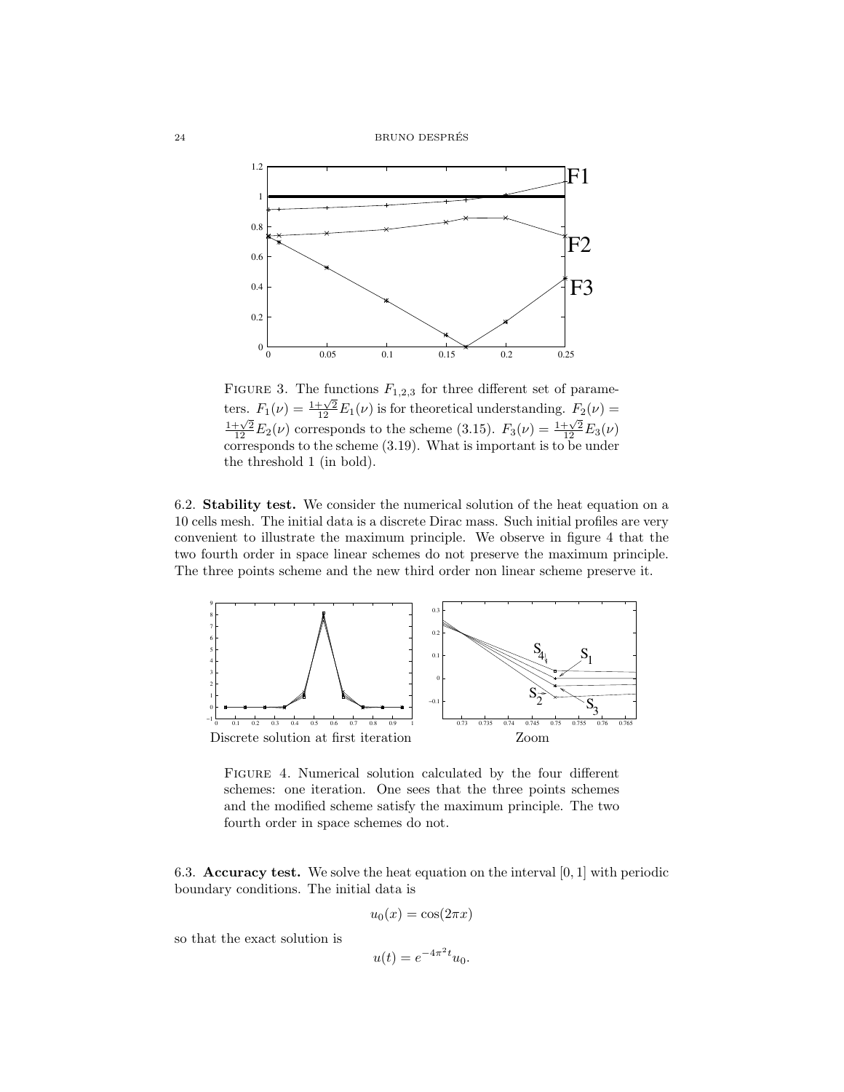24 BRUNO DESPRES´



FIGURE 3. The functions  $F_{1,2,3}$  for three different set of parameters.  $F_1(\nu) = \frac{1+\sqrt{2}}{12} E_1(\nu)$  is for theoretical understanding.  $F_2(\nu) = \frac{1+\sqrt{2}}{12} E_2(\nu)$  corresponds to the scheme (3.15).  $F_3(\nu) = \frac{1+\sqrt{2}}{12} E_3(\nu)$ corresponds to the scheme (3.19). What is important is to be under the threshold 1 (in bold).

6.2. Stability test. We consider the numerical solution of the heat equation on a 10 cells mesh. The initial data is a discrete Dirac mass. Such initial profiles are very convenient to illustrate the maximum principle. We observe in figure 4 that the two fourth order in space linear schemes do not preserve the maximum principle. The three points scheme and the new third order non linear scheme preserve it.



Figure 4. Numerical solution calculated by the four different schemes: one iteration. One sees that the three points schemes and the modified scheme satisfy the maximum principle. The two fourth order in space schemes do not.

6.3. **Accuracy test.** We solve the heat equation on the interval  $[0, 1]$  with periodic boundary conditions. The initial data is

$$
u_0(x) = \cos(2\pi x)
$$

so that the exact solution is

$$
u(t) = e^{-4\pi^2 t} u_0.
$$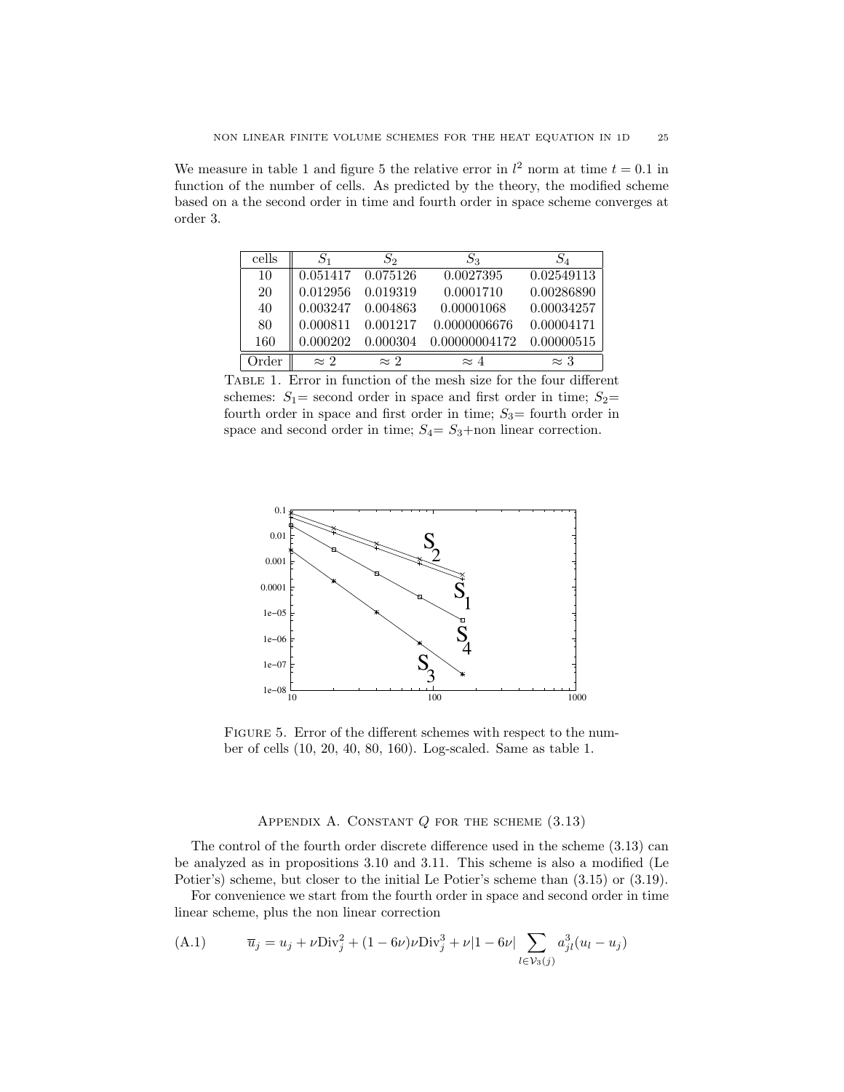We measure in table 1 and figure 5 the relative error in  $l^2$  norm at time  $t = 0.1$  in function of the number of cells. As predicted by the theory, the modified scheme based on a the second order in time and fourth order in space scheme converges at order 3.

| cells    | $S_1$             | S2          | $S_3$         | $S_{4}$     |
|----------|-------------------|-------------|---------------|-------------|
| 10       | 0.051417 0.075126 |             | 0.0027395     | 0.02549113  |
| 20       | 0.012956          | 0.019319    | 0.0001710     | 0.00286890  |
| 40       | 0.003247          | 0.004863    | 0.00001068    | 0.00034257  |
| 80       | 0.000811          | 0.001217    | 0.0000006676  | 0.00004171  |
| 160      | 0.000202          | 0.000304    | 0.00000004172 | 0.00000515  |
| $)$ rder | $\approx 2$       | $\approx 2$ | $\approx 4$   | $\approx 3$ |

Table 1. Error in function of the mesh size for the four different schemes:  $S_1$  = second order in space and first order in time;  $S_2$  = fourth order in space and first order in time;  $S_3$  = fourth order in space and second order in time;  $S_4 = S_3 +$ non linear correction.



FIGURE 5. Error of the different schemes with respect to the number of cells (10, 20, 40, 80, 160). Log-scaled. Same as table 1.

### APPENDIX A. CONSTANT  $Q$  for the scheme  $(3.13)$

The control of the fourth order discrete difference used in the scheme (3.13) can be analyzed as in propositions 3.10 and 3.11. This scheme is also a modified (Le Potier's) scheme, but closer to the initial Le Potier's scheme than (3.15) or (3.19).

For convenience we start from the fourth order in space and second order in time linear scheme, plus the non linear correction

(A.1) 
$$
\overline{u}_j = u_j + \nu \text{Div}_j^2 + (1 - 6\nu)\nu \text{Div}_j^3 + \nu |1 - 6\nu| \sum_{l \in \mathcal{V}_3(j)} a_{jl}^3 (u_l - u_j)
$$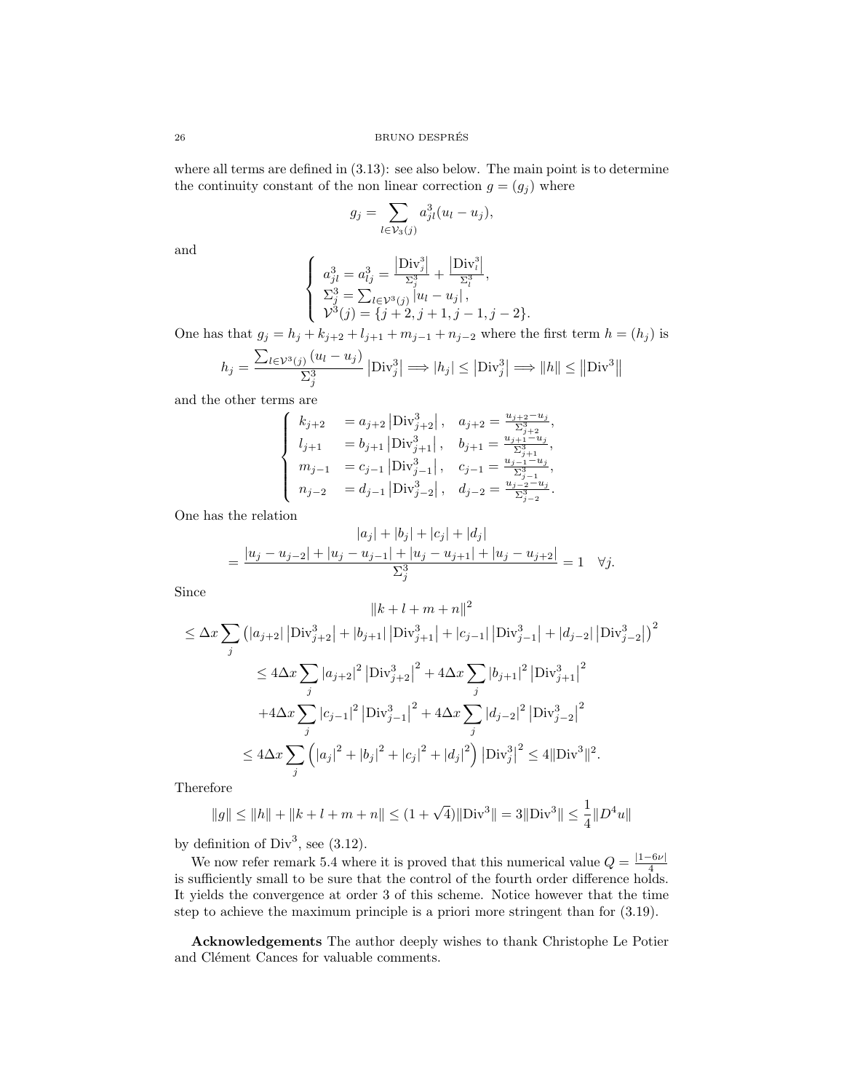26 BRUNO DESPRES´

where all terms are defined in (3.13): see also below. The main point is to determine the continuity constant of the non linear correction  $g = (g_j)$  where

$$
g_j = \sum_{l \in \mathcal{V}_3(j)} a_{jl}^3 (u_l - u_j),
$$

and

$$
\begin{cases}\na_{jl}^{3} = a_{lj}^{3} = \frac{|\text{Div}_{j}^{3}|}{\Sigma_{j}^{3}} + \frac{|\text{Div}_{l}^{3}|}{\Sigma_{l}^{3}},\\ \n\Sigma_{j}^{3} = \sum_{l \in \mathcal{V}^{3}(j)} |u_{l} - u_{j}|,\\ \n\mathcal{V}^{3}(j) = \{j + 2, j + 1, j - 1, j - 2\}.\n\end{cases}
$$

One has that  $g_j = h_j + k_{j+2} + l_{j+1} + m_{j-1} + n_{j-2}$  where the first term  $h = (h_j)$  is

$$
h_j = \frac{\sum_{l \in \mathcal{V}^3(j)} (u_l - u_j)}{\sum_j^3} |\text{Div}_j^3| \Longrightarrow |h_j| \le |\text{Div}_j^3| \Longrightarrow ||h|| \le ||\text{Div}^3||
$$

and the other terms are

$$
\left\{ \begin{array}{ll} k_{j+2} &= a_{j+2} \left| \mathrm{Div}_{j+2}^3 \right|, & a_{j+2} = \frac{u_{j+2} - u_j}{\Sigma_{j+2}^3}, \\ l_{j+1} &= b_{j+1} \left| \mathrm{Div}_{j+1}^3 \right|, & b_{j+1} = \frac{u_{j+1} - u_j}{\Sigma_{j+1}^3}, \\ m_{j-1} &= c_{j-1} \left| \mathrm{Div}_{j-1}^3 \right|, & c_{j-1} = \frac{u_{j-1} - u_j}{\Sigma_{j-1}^3}, \\ n_{j-2} &= d_{j-1} \left| \mathrm{Div}_{j-2}^3 \right|, & d_{j-2} = \frac{u_{j-2} - u_j}{\Sigma_{j-2}^3}. \end{array} \right.
$$

One has the relation

$$
|a_j| + |b_j| + |c_j| + |d_j|
$$
  
= 
$$
\frac{|u_j - u_{j-2}| + |u_j - u_{j-1}| + |u_j - u_{j+1}| + |u_j - u_{j+2}|}{\sum_{j}^{3}} = 1 \quad \forall j.
$$

Since

$$
||k + l + m + n||^{2}
$$
  
\n
$$
\leq \Delta x \sum_{j} (|a_{j+2}| |\text{Div}_{j+2}^{3}| + |b_{j+1}| |\text{Div}_{j+1}^{3}| + |c_{j-1}| |\text{Div}_{j-1}^{3}| + |d_{j-2}| |\text{Div}_{j-2}^{3}|)^{2}
$$
  
\n
$$
\leq 4\Delta x \sum_{j} |a_{j+2}|^{2} |\text{Div}_{j+2}^{3}|^{2} + 4\Delta x \sum_{j} |b_{j+1}|^{2} |\text{Div}_{j+1}^{3}|^{2}
$$
  
\n
$$
+4\Delta x \sum_{j} |c_{j-1}|^{2} |\text{Div}_{j-1}^{3}|^{2} + 4\Delta x \sum_{j} |d_{j-2}|^{2} |\text{Div}_{j-2}^{3}|^{2}
$$
  
\n
$$
\leq 4\Delta x \sum_{j} (|a_{j}|^{2} + |b_{j}|^{2} + |c_{j}|^{2} + |d_{j}|^{2}) |\text{Div}_{j}^{3}|^{2} \leq 4||\text{Div}^{3}||^{2}.
$$

Therefore

$$
\|g\| \le \|h\| + \|k+l+m+n\| \le (1+\sqrt{4})\|\text{Div}^3\| = 3\|\text{Div}^3\| \le \frac{1}{4}\|D^4u\|
$$

by definition of  $Div^3$ , see (3.12).

We now refer remark 5.4 where it is proved that this numerical value  $Q = \frac{|1 - 6\nu|}{4}$ we now refer remain 5.4 where it is proved that this numerical value  $\zeta = \frac{4}{4}$  is sufficiently small to be sure that the control of the fourth order difference holds. It yields the convergence at order 3 of this scheme. Notice however that the time step to achieve the maximum principle is a priori more stringent than for (3.19).

Acknowledgements The author deeply wishes to thank Christophe Le Potier and Clément Cances for valuable comments.